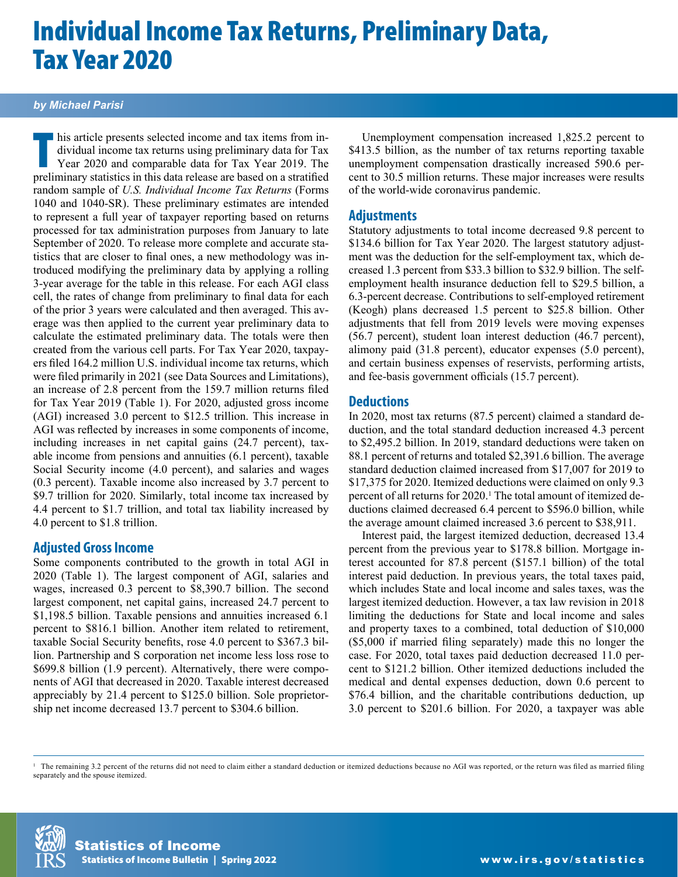# Individual Income Tax Returns, Preliminary Data, Tax Year 2020

#### *by Michael Parisi*

his article presents selected income and tax items from individual income tax returns using preliminary data for Tax Year 2019. The preliminary statistics in this data release are based on a stratified his article presents selected income and tax items from individual income tax returns using preliminary data for Tax Year 2020 and comparable data for Tax Year 2019. The random sample of *U.S. Individual Income Tax Returns* (Forms 1040 and 1040-SR). These preliminary estimates are intended to represent a full year of taxpayer reporting based on returns processed for tax administration purposes from January to late September of 2020. To release more complete and accurate statistics that are closer to final ones, a new methodology was introduced modifying the preliminary data by applying a rolling 3-year average for the table in this release. For each AGI class cell, the rates of change from preliminary to final data for each of the prior 3 years were calculated and then averaged. This average was then applied to the current year preliminary data to calculate the estimated preliminary data. The totals were then created from the various cell parts. For Tax Year 2020, taxpayers filed 164.2 million U.S. individual income tax returns, which were filed primarily in 2021 (see Data Sources and Limitations), an increase of 2.8 percent from the 159.7 million returns filed for Tax Year 2019 (Table 1). For 2020, adjusted gross income (AGI) increased 3.0 percent to \$12.5 trillion. This increase in AGI was reflected by increases in some components of income, including increases in net capital gains (24.7 percent), taxable income from pensions and annuities (6.1 percent), taxable Social Security income (4.0 percent), and salaries and wages (0.3 percent). Taxable income also increased by 3.7 percent to \$9.7 trillion for 2020. Similarly, total income tax increased by 4.4 percent to \$1.7 trillion, and total tax liability increased by 4.0 percent to \$1.8 trillion.

#### **Adjusted Gross Income**

Some components contributed to the growth in total AGI in 2020 (Table 1). The largest component of AGI, salaries and wages, increased 0.3 percent to \$8,390.7 billion. The second largest component, net capital gains, increased 24.7 percent to \$1,198.5 billion. Taxable pensions and annuities increased 6.1 percent to \$816.1 billion. Another item related to retirement, taxable Social Security benefits, rose 4.0 percent to \$367.3 billion. Partnership and S corporation net income less loss rose to \$699.8 billion (1.9 percent). Alternatively, there were components of AGI that decreased in 2020. Taxable interest decreased appreciably by 21.4 percent to \$125.0 billion. Sole proprietorship net income decreased 13.7 percent to \$304.6 billion.

Unemployment compensation increased 1,825.2 percent to \$413.5 billion, as the number of tax returns reporting taxable unemployment compensation drastically increased 590.6 percent to 30.5 million returns. These major increases were results of the world-wide coronavirus pandemic.

#### **Adjustments**

Statutory adjustments to total income decreased 9.8 percent to \$134.6 billion for Tax Year 2020. The largest statutory adjustment was the deduction for the self-employment tax, which decreased 1.3 percent from \$33.3 billion to \$32.9 billion. The selfemployment health insurance deduction fell to \$29.5 billion, a 6.3-percent decrease. Contributions to self-employed retirement (Keogh) plans decreased 1.5 percent to \$25.8 billion. Other adjustments that fell from 2019 levels were moving expenses (56.7 percent), student loan interest deduction (46.7 percent), alimony paid (31.8 percent), educator expenses (5.0 percent), and certain business expenses of reservists, performing artists, and fee-basis government officials (15.7 percent).

#### **Deductions**

In 2020, most tax returns (87.5 percent) claimed a standard deduction, and the total standard deduction increased 4.3 percent to \$2,495.2 billion. In 2019, standard deductions were taken on 88.1 percent of returns and totaled \$2,391.6 billion. The average standard deduction claimed increased from \$17,007 for 2019 to \$17,375 for 2020. Itemized deductions were claimed on only 9.3 percent of all returns for 2020.<sup>1</sup> The total amount of itemized deductions claimed decreased 6.4 percent to \$596.0 billion, while the average amount claimed increased 3.6 percent to \$38,911.

Interest paid, the largest itemized deduction, decreased 13.4 percent from the previous year to \$178.8 billion. Mortgage interest accounted for 87.8 percent (\$157.1 billion) of the total interest paid deduction. In previous years, the total taxes paid, which includes State and local income and sales taxes, was the largest itemized deduction. However, a tax law revision in 2018 limiting the deductions for State and local income and sales and property taxes to a combined, total deduction of \$10,000 (\$5,000 if married filing separately) made this no longer the case. For 2020, total taxes paid deduction decreased 11.0 percent to \$121.2 billion. Other itemized deductions included the medical and dental expenses deduction, down 0.6 percent to \$76.4 billion, and the charitable contributions deduction, up 3.0 percent to \$201.6 billion. For 2020, a taxpayer was able

<sup>1</sup> The remaining 3.2 percent of the returns did not need to claim either a standard deduction or itemized deductions because no AGI was reported, or the return was filed as married filing separately and the spouse itemized.

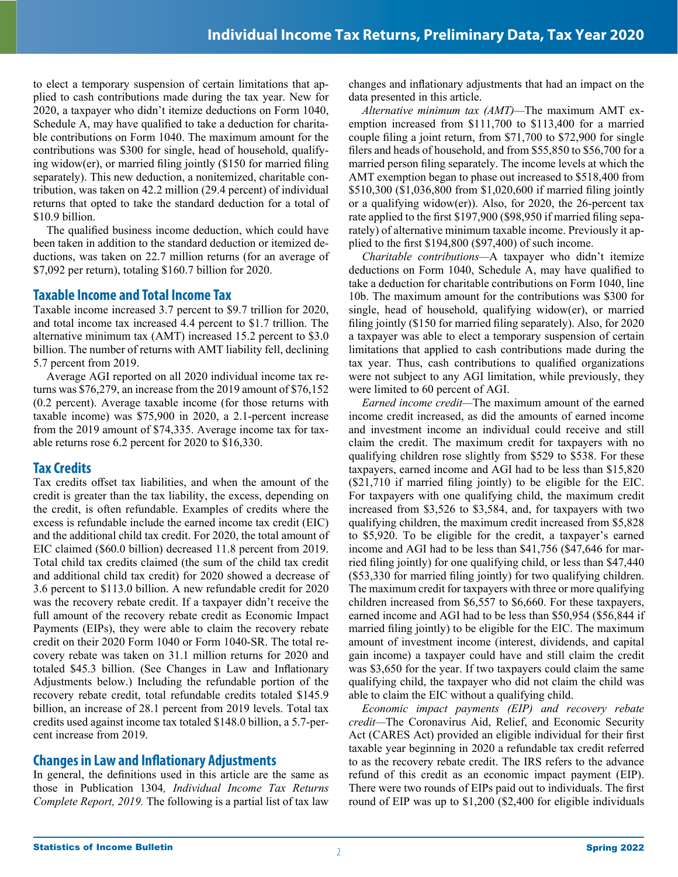to elect a temporary suspension of certain limitations that applied to cash contributions made during the tax year. New for 2020, a taxpayer who didn't itemize deductions on Form 1040, Schedule A, may have qualified to take a deduction for charitable contributions on Form 1040. The maximum amount for the contributions was \$300 for single, head of household, qualifying widow(er), or married filing jointly (\$150 for married filing separately). This new deduction, a nonitemized, charitable contribution, was taken on 42.2 million (29.4 percent) of individual returns that opted to take the standard deduction for a total of \$10.9 billion.

The qualified business income deduction, which could have been taken in addition to the standard deduction or itemized deductions, was taken on 22.7 million returns (for an average of \$7,092 per return), totaling \$160.7 billion for 2020.

#### **Taxable Income and Total Income Tax**

Taxable income increased 3.7 percent to \$9.7 trillion for 2020, and total income tax increased 4.4 percent to \$1.7 trillion. The alternative minimum tax (AMT) increased 15.2 percent to \$3.0 billion. The number of returns with AMT liability fell, declining 5.7 percent from 2019.

Average AGI reported on all 2020 individual income tax returns was \$76,279, an increase from the 2019 amount of \$76,152 (0.2 percent). Average taxable income (for those returns with taxable income) was \$75,900 in 2020, a 2.1-percent increase from the 2019 amount of \$74,335. Average income tax for taxable returns rose 6.2 percent for 2020 to \$16,330.

### **Tax Credits**

Tax credits offset tax liabilities, and when the amount of the credit is greater than the tax liability, the excess, depending on the credit, is often refundable. Examples of credits where the excess is refundable include the earned income tax credit (EIC) and the additional child tax credit. For 2020, the total amount of EIC claimed (\$60.0 billion) decreased 11.8 percent from 2019. Total child tax credits claimed (the sum of the child tax credit and additional child tax credit) for 2020 showed a decrease of 3.6 percent to \$113.0 billion. A new refundable credit for 2020 was the recovery rebate credit. If a taxpayer didn't receive the full amount of the recovery rebate credit as Economic Impact Payments (EIPs), they were able to claim the recovery rebate credit on their 2020 Form 1040 or Form 1040-SR. The total recovery rebate was taken on 31.1 million returns for 2020 and totaled \$45.3 billion. (See Changes in Law and Inflationary Adjustments below.) Including the refundable portion of the recovery rebate credit, total refundable credits totaled \$145.9 billion, an increase of 28.1 percent from 2019 levels. Total tax credits used against income tax totaled \$148.0 billion, a 5.7-percent increase from 2019.

### **Changes in Law and Inflationary Adjustments**

In general, the definitions used in this article are the same as those in Publication 1304*, Individual Income Tax Returns Complete Report, 2019.* The following is a partial list of tax law changes and inflationary adjustments that had an impact on the data presented in this article.

*Alternative minimum tax (AMT)—*The maximum AMT exemption increased from \$111,700 to \$113,400 for a married couple filing a joint return, from \$71,700 to \$72,900 for single filers and heads of household, and from \$55,850 to \$56,700 for a married person filing separately. The income levels at which the AMT exemption began to phase out increased to \$518,400 from \$510,300 (\$1,036,800 from \$1,020,600 if married filing jointly or a qualifying widow(er)). Also, for 2020, the 26-percent tax rate applied to the first \$197,900 (\$98,950 if married filing separately) of alternative minimum taxable income. Previously it applied to the first \$194,800 (\$97,400) of such income.

*Charitable contributions—*A taxpayer who didn't itemize deductions on Form 1040, Schedule A, may have qualified to take a deduction for charitable contributions on Form 1040, line 10b. The maximum amount for the contributions was \$300 for single, head of household, qualifying widow(er), or married filing jointly (\$150 for married filing separately). Also, for 2020 a taxpayer was able to elect a temporary suspension of certain limitations that applied to cash contributions made during the tax year. Thus, cash contributions to qualified organizations were not subject to any AGI limitation, while previously, they were limited to 60 percent of AGI.

*Earned income credit—*The maximum amount of the earned income credit increased, as did the amounts of earned income and investment income an individual could receive and still claim the credit. The maximum credit for taxpayers with no qualifying children rose slightly from \$529 to \$538. For these taxpayers, earned income and AGI had to be less than \$15,820 (\$21,710 if married filing jointly) to be eligible for the EIC. For taxpayers with one qualifying child, the maximum credit increased from \$3,526 to \$3,584, and, for taxpayers with two qualifying children, the maximum credit increased from \$5,828 to \$5,920. To be eligible for the credit, a taxpayer's earned income and AGI had to be less than \$41,756 (\$47,646 for married filing jointly) for one qualifying child, or less than \$47,440 (\$53,330 for married filing jointly) for two qualifying children. The maximum credit for taxpayers with three or more qualifying children increased from \$6,557 to \$6,660. For these taxpayers, earned income and AGI had to be less than \$50,954 (\$56,844 if married filing jointly) to be eligible for the EIC. The maximum amount of investment income (interest, dividends, and capital gain income) a taxpayer could have and still claim the credit was \$3,650 for the year. If two taxpayers could claim the same qualifying child, the taxpayer who did not claim the child was able to claim the EIC without a qualifying child.

*Economic impact payments (EIP) and recovery rebate credit—*The Coronavirus Aid, Relief, and Economic Security Act (CARES Act) provided an eligible individual for their first taxable year beginning in 2020 a refundable tax credit referred to as the recovery rebate credit. The IRS refers to the advance refund of this credit as an economic impact payment (EIP). There were two rounds of EIPs paid out to individuals. The first round of EIP was up to \$1,200 (\$2,400 for eligible individuals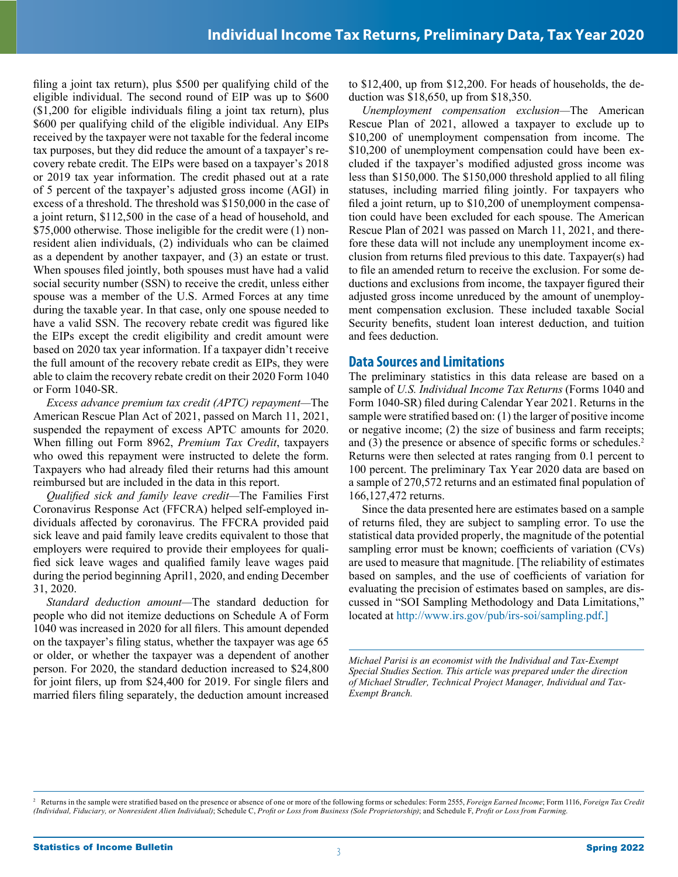filing a joint tax return), plus \$500 per qualifying child of the eligible individual. The second round of EIP was up to \$600 (\$1,200 for eligible individuals filing a joint tax return), plus \$600 per qualifying child of the eligible individual. Any EIPs received by the taxpayer were not taxable for the federal income tax purposes, but they did reduce the amount of a taxpayer's recovery rebate credit. The EIPs were based on a taxpayer's 2018 or 2019 tax year information. The credit phased out at a rate of 5 percent of the taxpayer's adjusted gross income (AGI) in excess of a threshold. The threshold was \$150,000 in the case of a joint return, \$112,500 in the case of a head of household, and \$75,000 otherwise. Those ineligible for the credit were (1) nonresident alien individuals, (2) individuals who can be claimed as a dependent by another taxpayer, and (3) an estate or trust. When spouses filed jointly, both spouses must have had a valid social security number (SSN) to receive the credit, unless either spouse was a member of the U.S. Armed Forces at any time during the taxable year. In that case, only one spouse needed to have a valid SSN. The recovery rebate credit was figured like the EIPs except the credit eligibility and credit amount were based on 2020 tax year information. If a taxpayer didn't receive the full amount of the recovery rebate credit as EIPs, they were able to claim the recovery rebate credit on their 2020 Form 1040 or Form 1040-SR.

*Excess advance premium tax credit (APTC) repayment—*The American Rescue Plan Act of 2021, passed on March 11, 2021, suspended the repayment of excess APTC amounts for 2020. When filling out Form 8962, *Premium Tax Credit*, taxpayers who owed this repayment were instructed to delete the form. Taxpayers who had already filed their returns had this amount reimbursed but are included in the data in this report.

*Qualified sick and family leave credit—*The Families First Coronavirus Response Act (FFCRA) helped self-employed individuals affected by coronavirus. The FFCRA provided paid sick leave and paid family leave credits equivalent to those that employers were required to provide their employees for qualified sick leave wages and qualified family leave wages paid during the period beginning April1, 2020, and ending December 31, 2020.

*Standard deduction amount—*The standard deduction for people who did not itemize deductions on Schedule A of Form 1040 was increased in 2020 for all filers. This amount depended on the taxpayer's filing status, whether the taxpayer was age 65 or older, or whether the taxpayer was a dependent of another person. For 2020, the standard deduction increased to \$24,800 for joint filers, up from \$24,400 for 2019. For single filers and married filers filing separately, the deduction amount increased

to \$12,400, up from \$12,200. For heads of households, the deduction was \$18,650, up from \$18,350.

*Unemployment compensation exclusion—*The American Rescue Plan of 2021, allowed a taxpayer to exclude up to \$10,200 of unemployment compensation from income. The \$10,200 of unemployment compensation could have been excluded if the taxpayer's modified adjusted gross income was less than \$150,000. The \$150,000 threshold applied to all filing statuses, including married filing jointly. For taxpayers who filed a joint return, up to \$10,200 of unemployment compensation could have been excluded for each spouse. The American Rescue Plan of 2021 was passed on March 11, 2021, and therefore these data will not include any unemployment income exclusion from returns filed previous to this date. Taxpayer(s) had to file an amended return to receive the exclusion. For some deductions and exclusions from income, the taxpayer figured their adjusted gross income unreduced by the amount of unemployment compensation exclusion. These included taxable Social Security benefits, student loan interest deduction, and tuition and fees deduction.

#### **Data Sources and Limitations**

The preliminary statistics in this data release are based on a sample of *U.S. Individual Income Tax Returns* (Forms 1040 and Form 1040-SR) filed during Calendar Year 2021. Returns in the sample were stratified based on: (1) the larger of positive income or negative income; (2) the size of business and farm receipts; and (3) the presence or absence of specific forms or schedules.<sup>2</sup> Returns were then selected at rates ranging from 0.1 percent to 100 percent. The preliminary Tax Year 2020 data are based on a sample of 270,572 returns and an estimated final population of 166,127,472 returns.

Since the data presented here are estimates based on a sample of returns filed, they are subject to sampling error. To use the statistical data provided properly, the magnitude of the potential sampling error must be known; coefficients of variation (CVs) are used to measure that magnitude. [The reliability of estimates based on samples, and the use of coefficients of variation for evaluating the precision of estimates based on samples, are discussed in "SOI Sampling Methodology and Data Limitations," located at <http://www.irs.gov/pub/irs-soi/sampling.pdf>.]

*Michael Parisi is an economist with the Individual and Tax-Exempt Special Studies Section. This article was prepared under the direction of Michael Strudler, Technical Project Manager, Individual and Tax-Exempt Branch.*

Returns in the sample were stratified based on the presence or absence of one or more of the following forms or schedules: Form 2555, *Foreign Earned Income*; Form 1116, *Foreign Tax Credit (Individual, Fiduciary, or Nonresident Alien Individual)*; Schedule C, *Profit or Loss from Business (Sole Proprietorship)*; and Schedule F, *Profit or Loss from Farming*.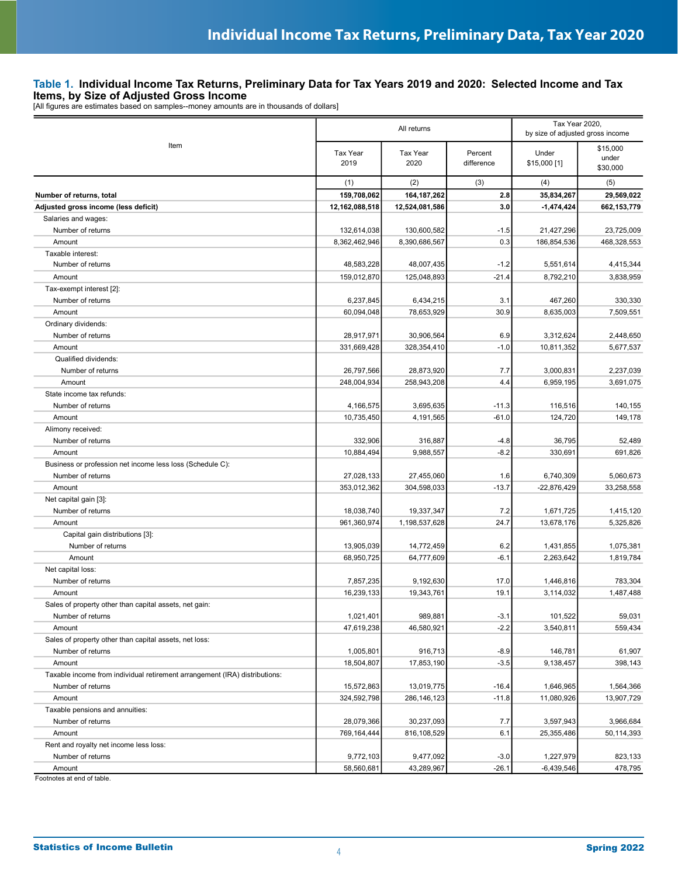### **Table 1. Individual Income Tax Returns, Preliminary Data for Tax Years 2019 and 2020: Selected Income and Tax Items, by Size of Adjusted Gross Income**<br>[All figures are estimates based on samples--money amounts are in thousands of dollars]

|                                                                            |                         | All returns             | Tax Year 2020,<br>by size of adjusted gross income |                       |                               |
|----------------------------------------------------------------------------|-------------------------|-------------------------|----------------------------------------------------|-----------------------|-------------------------------|
| Item                                                                       | <b>Tax Year</b><br>2019 | <b>Tax Year</b><br>2020 | Percent<br>difference                              | Under<br>\$15,000 [1] | \$15,000<br>under<br>\$30,000 |
|                                                                            | (1)                     | (2)                     | (3)                                                | (4)                   | (5)                           |
| Number of returns, total                                                   | 159,708,062             | 164, 187, 262           | 2.8                                                | 35,834,267            | 29,569,022                    |
| Adjusted gross income (less deficit)                                       | 12,162,088,518          | 12,524,081,586          | 3.0                                                | $-1,474,424$          | 662,153,779                   |
| Salaries and wages:                                                        |                         |                         |                                                    |                       |                               |
| Number of returns                                                          | 132,614,038             | 130,600,582             | $-1.5$                                             | 21,427,296            | 23,725,009                    |
| Amount                                                                     | 8,362,462,946           | 8,390,686,567           | 0.3                                                | 186,854,536           | 468,328,553                   |
| Taxable interest:                                                          |                         |                         |                                                    |                       |                               |
| Number of returns                                                          | 48,583,228              | 48,007,435              | $-1.2$                                             | 5,551,614             | 4,415,344                     |
| Amount                                                                     | 159,012,870             | 125,048,893             | $-21.4$                                            | 8,792,210             | 3,838,959                     |
| Tax-exempt interest [2]:                                                   |                         |                         |                                                    |                       |                               |
| Number of returns                                                          | 6,237,845               | 6,434,215               | 3.1                                                | 467,260               | 330,330                       |
| Amount                                                                     | 60,094,048              | 78,653,929              | 30.9                                               | 8,635,003             | 7,509,551                     |
| Ordinary dividends:                                                        |                         |                         |                                                    |                       |                               |
| Number of returns                                                          | 28,917,971              | 30,906,564              | 6.9                                                | 3,312,624             | 2,448,650                     |
| Amount                                                                     | 331,669,428             | 328,354,410             | $-1.0$                                             | 10,811,352            | 5.677.537                     |
| Qualified dividends:                                                       |                         |                         |                                                    |                       |                               |
| Number of returns                                                          | 26,797,566              | 28,873,920              | 7.7                                                | 3,000,831             | 2,237,039                     |
| Amount                                                                     | 248,004,934             | 258,943,208             | 4.4                                                | 6,959,195             | 3,691,075                     |
| State income tax refunds:                                                  |                         |                         |                                                    |                       |                               |
| Number of returns                                                          | 4,166,575               | 3,695,635               | $-11.3$                                            | 116,516               | 140,155                       |
| Amount                                                                     | 10,735,450              | 4,191,565               | $-61.0$                                            | 124,720               | 149,178                       |
| Alimony received:                                                          |                         |                         |                                                    |                       |                               |
| Number of returns                                                          | 332,906                 | 316,887                 | $-4.8$                                             | 36,795                | 52,489                        |
| Amount                                                                     | 10,884,494              | 9,988,557               | $-8.2$                                             | 330,691               | 691,826                       |
| Business or profession net income less loss (Schedule C):                  |                         |                         |                                                    |                       |                               |
| Number of returns                                                          | 27,028,133              | 27,455,060              | 1.6                                                | 6,740,309             | 5,060,673                     |
| Amount                                                                     | 353,012,362             | 304,598,033             | $-13.7$                                            | $-22,876,429$         | 33,258,558                    |
| Net capital gain [3]:                                                      |                         |                         |                                                    |                       |                               |
| Number of returns                                                          | 18,038,740              | 19,337,347              | 7.2                                                | 1,671,725             | 1,415,120                     |
| Amount                                                                     | 961,360,974             | 1,198,537,628           | 24.7                                               | 13,678,176            | 5,325,826                     |
| Capital gain distributions [3]:                                            |                         |                         |                                                    |                       |                               |
| Number of returns                                                          | 13,905,039              | 14,772,459              | 6.2                                                | 1,431,855             | 1,075,381                     |
| Amount                                                                     | 68,950,725              | 64,777,609              | $-6.1$                                             | 2,263,642             | 1,819,784                     |
| Net capital loss:                                                          |                         |                         |                                                    |                       |                               |
| Number of returns                                                          | 7,857,235               | 9,192,630               | 17.0                                               | 1,446,816             | 783,304                       |
| Amount                                                                     | 16,239,133              | 19,343,761              | 19.1                                               | 3,114,032             | 1,487,488                     |
| Sales of property other than capital assets, net gain:                     |                         |                         |                                                    |                       |                               |
| Number of returns                                                          | 1,021,401               | 989,881                 | $-3.1$                                             | 101,522               | 59,031                        |
| Amount                                                                     | 47,619,238              | 46,580,921              | $-2.2$                                             | 3,540,811             | 559,434                       |
| Sales of property other than capital assets, net loss:                     |                         |                         |                                                    |                       |                               |
| Number of returns                                                          | 1,005,801               | 916,713                 | $-8.9$                                             | 146,781               | 61,907                        |
| Amount                                                                     | 18,504,807              | 17,853,190              | $-3.5$                                             | 9,138,457             | 398,143                       |
| Taxable income from individual retirement arrangement (IRA) distributions: |                         |                         |                                                    |                       |                               |
| Number of returns                                                          | 15,572,863              | 13,019,775              | $-16.4$                                            | 1,646,965             | 1,564,366                     |
| Amount                                                                     | 324,592,798             | 286, 146, 123           | $-11.8$                                            | 11,080,926            | 13,907,729                    |
| Taxable pensions and annuities:                                            |                         |                         |                                                    |                       |                               |
| Number of returns                                                          | 28,079,366              | 30,237,093              | 7.7                                                | 3,597,943             | 3,966,684                     |
| Amount                                                                     | 769,164,444             | 816,108,529             | 6.1                                                | 25,355,486            | 50,114,393                    |
| Rent and royalty net income less loss:                                     |                         |                         |                                                    |                       |                               |
| Number of returns                                                          | 9,772,103               | 9,477,092               | $-3.0$                                             | 1,227,979             | 823,133                       |
| Amount                                                                     | 58,560,681              | 43,289,967              | $-26.1$                                            | $-6,439,546$          | 478,795                       |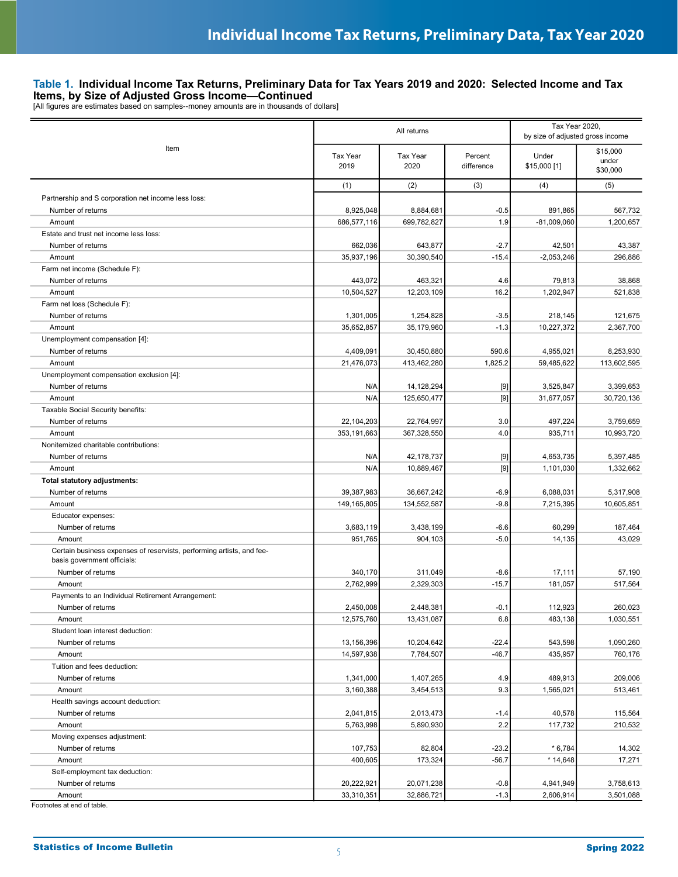**Items, by Size of Adjusted Gross Income—Continued**<br>[All figures are estimates based on samples--money amounts are in thousands of dollars]

|                                                                                                      |                  | All returns      | Tax Year 2020,<br>by size of adjusted gross income |                       |                               |
|------------------------------------------------------------------------------------------------------|------------------|------------------|----------------------------------------------------|-----------------------|-------------------------------|
| Item                                                                                                 | Tax Year<br>2019 | Tax Year<br>2020 | Percent<br>difference                              | Under<br>\$15,000 [1] | \$15,000<br>under<br>\$30,000 |
|                                                                                                      | (1)              | (2)              | (3)                                                | (4)                   | (5)                           |
| Partnership and S corporation net income less loss:                                                  |                  |                  |                                                    |                       |                               |
| Number of returns                                                                                    | 8,925,048        | 8,884,681        | $-0.5$                                             | 891,865               | 567,732                       |
| Amount                                                                                               | 686,577,116      | 699,782,827      | 1.9                                                | $-81,009,060$         | 1,200,657                     |
| Estate and trust net income less loss:                                                               |                  |                  |                                                    |                       |                               |
| Number of returns                                                                                    | 662,036          | 643,877          | $-2.7$                                             | 42,501                | 43,387                        |
| Amount                                                                                               | 35,937,196       | 30,390,540       | $-15.4$                                            | $-2,053,246$          | 296.886                       |
| Farm net income (Schedule F):                                                                        |                  |                  |                                                    |                       |                               |
| Number of returns                                                                                    | 443,072          | 463,321          | 4.6                                                | 79,813                | 38,868                        |
| Amount                                                                                               | 10,504,527       | 12,203,109       | 16.2                                               | 1,202,947             | 521,838                       |
| Farm net loss (Schedule F):                                                                          |                  |                  |                                                    |                       |                               |
| Number of returns                                                                                    | 1,301,005        | 1,254,828        | $-3.5$                                             | 218,145               | 121,675                       |
| Amount                                                                                               | 35,652,857       | 35,179,960       | $-1.3$                                             | 10,227,372            | 2,367,700                     |
| Unemployment compensation [4]:                                                                       |                  |                  |                                                    |                       |                               |
| Number of returns                                                                                    | 4,409,091        | 30,450,880       | 590.6                                              | 4,955,021             | 8,253,930                     |
| Amount                                                                                               | 21,476,073       | 413,462,280      | 1,825.2                                            | 59,485,622            | 113,602,595                   |
| Unemployment compensation exclusion [4]:                                                             |                  |                  |                                                    |                       |                               |
| Number of returns                                                                                    | N/A              | 14,128,294       | $[9]$                                              | 3,525,847             | 3.399.653                     |
| Amount                                                                                               | N/A              | 125,650,477      | $[9]$                                              | 31,677,057            | 30,720,136                    |
| Taxable Social Security benefits:                                                                    |                  |                  |                                                    |                       |                               |
| Number of returns                                                                                    | 22,104,203       | 22,764,997       | 3.0                                                | 497,224               | 3,759,659                     |
| Amount                                                                                               | 353,191,663      | 367,328,550      | 4.0                                                | 935,711               | 10,993,720                    |
| Nonitemized charitable contributions:                                                                |                  |                  |                                                    |                       |                               |
| Number of returns                                                                                    | N/A              | 42,178,737       | $[9]$                                              | 4,653,735             | 5,397,485                     |
| Amount                                                                                               | N/A              | 10,889,467       | $[9]$                                              | 1,101,030             | 1,332,662                     |
| Total statutory adjustments:                                                                         |                  |                  |                                                    |                       |                               |
| Number of returns                                                                                    | 39,387,983       | 36,667,242       | $-6.9$                                             | 6,088,031             | 5,317,908                     |
| Amount                                                                                               | 149,165,805      | 134,552,587      | $-9.8$                                             | 7,215,395             | 10,605,851                    |
| Educator expenses:                                                                                   |                  |                  |                                                    |                       |                               |
| Number of returns                                                                                    | 3,683,119        | 3,438,199        | $-6.6$                                             | 60,299                | 187,464                       |
| Amount                                                                                               | 951,765          | 904,103          | $-5.0$                                             | 14,135                | 43,029                        |
| Certain business expenses of reservists, performing artists, and fee-<br>basis government officials: |                  |                  |                                                    |                       |                               |
| Number of returns                                                                                    | 340,170          | 311,049          | $-8.6$                                             | 17,111                | 57,190                        |
| Amount                                                                                               | 2,762,999        | 2,329,303        | $-15.7$                                            | 181,057               | 517,564                       |
| Payments to an Individual Retirement Arrangement:                                                    |                  |                  |                                                    |                       |                               |
| Number of returns                                                                                    | 2,450,008        | 2,448,381        | $-0.1$                                             | 112,923               | 260,023                       |
| Amount                                                                                               | 12,575,760       | 13,431,087       | 6.8                                                | 483,138               | 1,030,551                     |
| Student loan interest deduction:                                                                     |                  |                  |                                                    |                       |                               |
| Number of returns                                                                                    | 13,156,396       | 10,204,642       | $-22.4$                                            | 543,598               | 1,090,260                     |
| Amount                                                                                               | 14,597,938       | 7,784,507        | $-46.7$                                            | 435,957               | 760,176                       |
| Tuition and fees deduction:                                                                          |                  |                  |                                                    |                       |                               |
| Number of returns                                                                                    | 1,341,000        | 1,407,265        | 4.9                                                | 489,913               | 209,006                       |
| Amount                                                                                               | 3,160,388        | 3,454,513        | 9.3                                                | 1,565,021             | 513,461                       |
| Health savings account deduction:                                                                    |                  |                  |                                                    |                       |                               |
| Number of returns                                                                                    | 2,041,815        | 2,013,473        | $-1.4$                                             | 40,578                | 115,564                       |
| Amount                                                                                               | 5,763,998        | 5,890,930        | 2.2                                                | 117,732               | 210,532                       |
| Moving expenses adjustment:                                                                          |                  |                  |                                                    |                       |                               |
| Number of returns                                                                                    | 107,753          | 82,804           | $-23.2$                                            | $*6,784$              | 14,302                        |
| Amount                                                                                               | 400,605          | 173,324          | $-56.7$                                            | $*14,648$             | 17,271                        |
| Self-employment tax deduction:                                                                       |                  |                  |                                                    |                       |                               |
| Number of returns                                                                                    | 20,222,921       | 20,071,238       | $-0.8$                                             | 4,941,949             | 3,758,613                     |
| Amount                                                                                               | 33,310,351       | 32,886,721       | $-1.3$                                             | 2,606,914             | 3,501,088                     |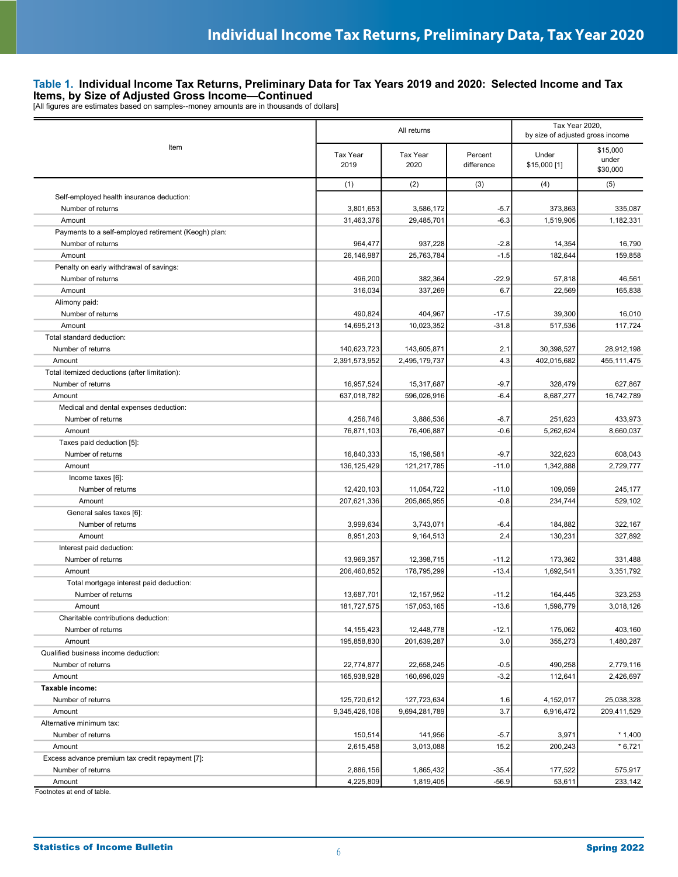|                                                              |                  | All returns                 | Tax Year 2020,<br>by size of adjusted gross income |                       |                               |
|--------------------------------------------------------------|------------------|-----------------------------|----------------------------------------------------|-----------------------|-------------------------------|
| Item                                                         | Tax Year<br>2019 | <b>Tax Year</b><br>2020     | Percent<br>difference                              | Under<br>\$15,000 [1] | \$15,000<br>under<br>\$30,000 |
|                                                              | (1)              | (2)                         | (3)                                                | (4)                   | (5)                           |
| Self-employed health insurance deduction:                    |                  |                             |                                                    |                       |                               |
| Number of returns                                            | 3,801,653        | 3,586,172                   | $-5.7$                                             | 373,863               | 335,087                       |
| Amount                                                       | 31,463,376       | 29,485,701                  | $-6.3$                                             | 1,519,905             | 1,182,331                     |
| Payments to a self-employed retirement (Keogh) plan:         |                  |                             |                                                    |                       |                               |
| Number of returns                                            | 964,477          | 937,228                     | $-2.8$                                             | 14,354                | 16,790                        |
| Amount                                                       | 26,146,987       | 25,763,784                  | $-1.5$                                             | 182,644               | 159.858                       |
| Penalty on early withdrawal of savings:                      |                  |                             |                                                    |                       |                               |
| Number of returns                                            | 496,200          | 382,364                     | $-22.9$                                            | 57,818                | 46,561                        |
| Amount                                                       | 316,034          | 337,269                     | 6.7                                                | 22,569                | 165,838                       |
| Alimony paid:                                                |                  |                             |                                                    |                       |                               |
| Number of returns                                            | 490,824          | 404,967                     | $-17.5$                                            | 39,300                | 16,010                        |
| Amount                                                       | 14,695,213       | 10,023,352                  | $-31.8$                                            | 517,536               | 117,724                       |
| Total standard deduction:                                    |                  |                             |                                                    |                       |                               |
| Number of returns                                            | 140,623,723      | 143,605,871                 | 2.1                                                | 30,398,527            | 28,912,198                    |
| Amount                                                       | 2,391,573,952    | 2,495,179,737               | 4.3                                                | 402,015,682           | 455,111,475                   |
| Total itemized deductions (after limitation):                |                  |                             |                                                    |                       |                               |
| Number of returns                                            | 16,957,524       | 15,317,687                  | $-9.7$                                             | 328,479               | 627,867                       |
| Amount                                                       | 637,018,782      | 596,026,916                 | $-6.4$                                             | 8,687,277             | 16,742,789                    |
| Medical and dental expenses deduction:                       |                  |                             |                                                    |                       |                               |
| Number of returns                                            | 4,256,746        | 3,886,536                   | $-8.7$                                             | 251,623               | 433,973                       |
| Amount                                                       | 76,871,103       | 76,406,887                  | $-0.6$                                             | 5,262,624             | 8,660,037                     |
| Taxes paid deduction [5]:                                    |                  |                             |                                                    |                       |                               |
| Number of returns                                            | 16,840,333       | 15,198,581                  | $-9.7$                                             | 322,623               | 608,043                       |
| Amount                                                       | 136, 125, 429    | 121,217,785                 | $-11.0$                                            | 1,342,888             | 2,729,777                     |
| Income taxes [6]:                                            |                  |                             |                                                    |                       |                               |
| Number of returns                                            | 12,420,103       | 11,054,722                  | $-11.0$                                            | 109,059               | 245,177                       |
| Amount                                                       | 207,621,336      | 205,865,955                 | $-0.8$                                             | 234,744               | 529,102                       |
| General sales taxes [6]:                                     |                  |                             |                                                    |                       |                               |
| Number of returns                                            | 3,999,634        | 3,743,071                   | $-6.4$                                             | 184,882               | 322,167                       |
| Amount                                                       | 8,951,203        | 9,164,513                   | 2.4                                                | 130,231               | 327,892                       |
| Interest paid deduction:                                     |                  |                             |                                                    |                       |                               |
| Number of returns                                            | 13,969,357       | 12,398,715                  | $-11.2$                                            | 173,362               | 331,488                       |
| Amount                                                       | 206,460,852      | 178,795,299                 | $-13.4$                                            | 1,692,541             | 3,351,792                     |
| Total mortgage interest paid deduction:<br>Number of returns | 13,687,701       |                             |                                                    |                       |                               |
| Amount                                                       | 181,727,575      | 12, 157, 952<br>157,053,165 | $-11.2$<br>$-13.6$                                 | 164,445<br>1,598,779  | 323,253<br>3,018,126          |
| Charitable contributions deduction:                          |                  |                             |                                                    |                       |                               |
| Number of returns                                            | 14, 155, 423     | 12,448,778                  | $-12.1$                                            | 175,062               | 403,160                       |
| Amount                                                       | 195,858,830      | 201,639,287                 | 3.0                                                | 355,273               | 1,480,287                     |
| Qualified business income deduction:                         |                  |                             |                                                    |                       |                               |
| Number of returns                                            | 22,774,877       | 22,658,245                  | $-0.5$                                             | 490,258               | 2,779,116                     |
| Amount                                                       | 165,938,928      | 160,696,029                 | $-3.2$                                             | 112,641               | 2,426,697                     |
| Taxable income:                                              |                  |                             |                                                    |                       |                               |
| Number of returns                                            | 125,720,612      | 127,723,634                 | 1.6                                                | 4,152,017             | 25,038,328                    |
| Amount                                                       | 9,345,426,106    | 9,694,281,789               | 3.7                                                | 6,916,472             | 209,411,529                   |
| Alternative minimum tax:                                     |                  |                             |                                                    |                       |                               |
| Number of returns                                            | 150,514          | 141,956                     | $-5.7$                                             | 3,971                 | $*1,400$                      |
| Amount                                                       | 2,615,458        | 3,013,088                   | 15.2                                               | 200,243               | $*6,721$                      |
| Excess advance premium tax credit repayment [7]:             |                  |                             |                                                    |                       |                               |
| Number of returns                                            | 2,886,156        | 1,865,432                   | $-35.4$                                            | 177,522               | 575,917                       |
| Amount                                                       | 4,225,809        | 1,819,405                   | $-56.9$                                            | 53,611                | 233,142                       |
| Footnotes at end of table.                                   |                  |                             |                                                    |                       |                               |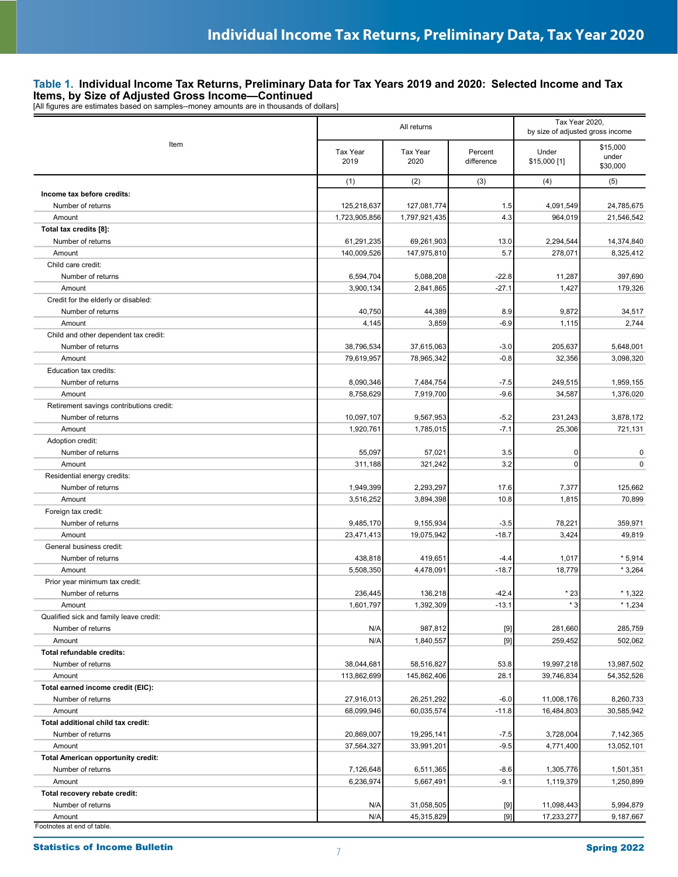**Items, by Size of Adjusted Gross Income—Continued**<br>[All figures are estimates based on samples--money amounts are in thousands of dollars]

|                                           |                         | All returns             | Tax Year 2020.<br>by size of adjusted gross income                                                                                                                                                                                                                                                                                                                                                                                                                                                                                                                                                                                                                                                                                                                                                                                                                                                                                                  |                       |                               |
|-------------------------------------------|-------------------------|-------------------------|-----------------------------------------------------------------------------------------------------------------------------------------------------------------------------------------------------------------------------------------------------------------------------------------------------------------------------------------------------------------------------------------------------------------------------------------------------------------------------------------------------------------------------------------------------------------------------------------------------------------------------------------------------------------------------------------------------------------------------------------------------------------------------------------------------------------------------------------------------------------------------------------------------------------------------------------------------|-----------------------|-------------------------------|
| Item                                      | <b>Tax Year</b><br>2019 | <b>Tax Year</b><br>2020 | Percent<br>difference                                                                                                                                                                                                                                                                                                                                                                                                                                                                                                                                                                                                                                                                                                                                                                                                                                                                                                                               | Under<br>\$15,000 [1] | \$15,000<br>under<br>\$30,000 |
|                                           | (1)                     | (2)                     | (3)                                                                                                                                                                                                                                                                                                                                                                                                                                                                                                                                                                                                                                                                                                                                                                                                                                                                                                                                                 | (4)                   | (5)                           |
| Income tax before credits:                |                         |                         |                                                                                                                                                                                                                                                                                                                                                                                                                                                                                                                                                                                                                                                                                                                                                                                                                                                                                                                                                     |                       |                               |
| Number of returns                         | 125,218,637             | 127,081,774             | 1.5                                                                                                                                                                                                                                                                                                                                                                                                                                                                                                                                                                                                                                                                                                                                                                                                                                                                                                                                                 | 4,091,549             | 24,785,675                    |
| Amount                                    | 1,723,905,856           | 1,797,921,435           | 4.3                                                                                                                                                                                                                                                                                                                                                                                                                                                                                                                                                                                                                                                                                                                                                                                                                                                                                                                                                 | 964,019               | 21,546,542                    |
| Total tax credits [8]:                    |                         |                         |                                                                                                                                                                                                                                                                                                                                                                                                                                                                                                                                                                                                                                                                                                                                                                                                                                                                                                                                                     |                       |                               |
| Number of returns                         | 61,291,235              | 69,261,903              | 13.0                                                                                                                                                                                                                                                                                                                                                                                                                                                                                                                                                                                                                                                                                                                                                                                                                                                                                                                                                | 2,294,544             | 14,374,840                    |
| Amount                                    | 140,009,526             | 147,975,810             | 5.7                                                                                                                                                                                                                                                                                                                                                                                                                                                                                                                                                                                                                                                                                                                                                                                                                                                                                                                                                 | 278,071               | 8,325,412                     |
| Child care credit:                        |                         |                         |                                                                                                                                                                                                                                                                                                                                                                                                                                                                                                                                                                                                                                                                                                                                                                                                                                                                                                                                                     |                       |                               |
| Number of returns                         | 6,594,704               | 5,088,208               | $-22.8$                                                                                                                                                                                                                                                                                                                                                                                                                                                                                                                                                                                                                                                                                                                                                                                                                                                                                                                                             | 11,287                | 397,690                       |
| Amount                                    | 3,900,134               | 2,841,865               | $-27.1$                                                                                                                                                                                                                                                                                                                                                                                                                                                                                                                                                                                                                                                                                                                                                                                                                                                                                                                                             | 1,427                 | 179,326                       |
| Credit for the elderly or disabled:       |                         |                         |                                                                                                                                                                                                                                                                                                                                                                                                                                                                                                                                                                                                                                                                                                                                                                                                                                                                                                                                                     |                       |                               |
| Number of returns                         | 40,750                  | 44,389                  | 8.9                                                                                                                                                                                                                                                                                                                                                                                                                                                                                                                                                                                                                                                                                                                                                                                                                                                                                                                                                 | 9,872                 | 34,517                        |
| Amount                                    | 4,145                   | 3,859                   | $-6.9$                                                                                                                                                                                                                                                                                                                                                                                                                                                                                                                                                                                                                                                                                                                                                                                                                                                                                                                                              | 1,115                 | 2,744                         |
| Child and other dependent tax credit:     |                         |                         |                                                                                                                                                                                                                                                                                                                                                                                                                                                                                                                                                                                                                                                                                                                                                                                                                                                                                                                                                     |                       |                               |
| Number of returns<br>Amount               | 38,796,534              | 37,615,063              | $-3.0$                                                                                                                                                                                                                                                                                                                                                                                                                                                                                                                                                                                                                                                                                                                                                                                                                                                                                                                                              | 205,637               | 5,648,001<br>3,098,320        |
| Education tax credits:                    | 79,619,957              | 78,965,342              | $-0.8$                                                                                                                                                                                                                                                                                                                                                                                                                                                                                                                                                                                                                                                                                                                                                                                                                                                                                                                                              | 32,356                |                               |
| Number of returns                         | 8,090,346               | 7,484,754               | $-7.5$                                                                                                                                                                                                                                                                                                                                                                                                                                                                                                                                                                                                                                                                                                                                                                                                                                                                                                                                              | 249,515               | 1,959,155                     |
| Amount                                    | 8,758,629               | 7,919,700               | $-9.6$                                                                                                                                                                                                                                                                                                                                                                                                                                                                                                                                                                                                                                                                                                                                                                                                                                                                                                                                              | 34,587                | 1,376,020                     |
| Retirement savings contributions credit:  |                         |                         |                                                                                                                                                                                                                                                                                                                                                                                                                                                                                                                                                                                                                                                                                                                                                                                                                                                                                                                                                     |                       |                               |
| Number of returns                         | 10,097,107              | 9,567,953               | $-5.2$                                                                                                                                                                                                                                                                                                                                                                                                                                                                                                                                                                                                                                                                                                                                                                                                                                                                                                                                              | 231,243               | 3,878,172                     |
| Amount                                    | 1,920,761               | 1,785,015               | $-7.1$                                                                                                                                                                                                                                                                                                                                                                                                                                                                                                                                                                                                                                                                                                                                                                                                                                                                                                                                              | 25,306                | 721,131                       |
| Adoption credit:                          |                         |                         |                                                                                                                                                                                                                                                                                                                                                                                                                                                                                                                                                                                                                                                                                                                                                                                                                                                                                                                                                     |                       |                               |
| Number of returns                         | 55,097                  | 57,021                  | 3.5                                                                                                                                                                                                                                                                                                                                                                                                                                                                                                                                                                                                                                                                                                                                                                                                                                                                                                                                                 | $\mathbf 0$           | 0                             |
| Amount                                    | 311,188                 | 321,242                 | 3.2                                                                                                                                                                                                                                                                                                                                                                                                                                                                                                                                                                                                                                                                                                                                                                                                                                                                                                                                                 | $\mathbf 0$           | 0                             |
| Residential energy credits:               |                         |                         |                                                                                                                                                                                                                                                                                                                                                                                                                                                                                                                                                                                                                                                                                                                                                                                                                                                                                                                                                     |                       |                               |
| Number of returns                         | 1,949,399               | 2,293,297               | 17.6                                                                                                                                                                                                                                                                                                                                                                                                                                                                                                                                                                                                                                                                                                                                                                                                                                                                                                                                                | 7,377                 | 125,662                       |
| Amount                                    | 3,516,252               | 3,894,398               | 10.8                                                                                                                                                                                                                                                                                                                                                                                                                                                                                                                                                                                                                                                                                                                                                                                                                                                                                                                                                | 1,815                 | 70,899                        |
| Foreign tax credit:                       |                         |                         |                                                                                                                                                                                                                                                                                                                                                                                                                                                                                                                                                                                                                                                                                                                                                                                                                                                                                                                                                     |                       |                               |
| Number of returns                         | 9,485,170               | 9,155,934               | $-3.5$                                                                                                                                                                                                                                                                                                                                                                                                                                                                                                                                                                                                                                                                                                                                                                                                                                                                                                                                              | 78,221                | 359,971                       |
| Amount                                    | 23,471,413              | 19,075,942              | $-18.7$                                                                                                                                                                                                                                                                                                                                                                                                                                                                                                                                                                                                                                                                                                                                                                                                                                                                                                                                             | 3,424                 | 49,819                        |
| General business credit:                  |                         |                         |                                                                                                                                                                                                                                                                                                                                                                                                                                                                                                                                                                                                                                                                                                                                                                                                                                                                                                                                                     |                       |                               |
| Number of returns                         | 438,818                 | 419,651                 | $-4.4$                                                                                                                                                                                                                                                                                                                                                                                                                                                                                                                                                                                                                                                                                                                                                                                                                                                                                                                                              | 1,017                 | $*5,914$                      |
| Amount                                    | 5,508,350               | 4,478,091               | $-18.7$                                                                                                                                                                                                                                                                                                                                                                                                                                                                                                                                                                                                                                                                                                                                                                                                                                                                                                                                             | 18,779                | $*3,264$                      |
| Prior year minimum tax credit:            |                         |                         |                                                                                                                                                                                                                                                                                                                                                                                                                                                                                                                                                                                                                                                                                                                                                                                                                                                                                                                                                     |                       |                               |
| Number of returns                         | 236,445                 | 136,218                 | $-42.4$                                                                                                                                                                                                                                                                                                                                                                                                                                                                                                                                                                                                                                                                                                                                                                                                                                                                                                                                             | $*23$                 | $*1,322$                      |
| Amount                                    | 1,601,797               | 1,392,309               | $-13.1$                                                                                                                                                                                                                                                                                                                                                                                                                                                                                                                                                                                                                                                                                                                                                                                                                                                                                                                                             | $*3$                  | $*1,234$                      |
| Qualified sick and family leave credit:   |                         |                         |                                                                                                                                                                                                                                                                                                                                                                                                                                                                                                                                                                                                                                                                                                                                                                                                                                                                                                                                                     |                       |                               |
| Number of returns                         | N/A                     | 987,812                 | $[9] % \begin{center} \includegraphics[width=\linewidth]{imagesSupplemental/Imers.png} \end{center} % \vspace{-1em} \caption{The image shows the number of parameters of the parameter $\mathcal{M}$ with the number of parameters in the parameter $\mathcal{M}$ with the number of parameters in the parameter $\mathcal{M}$ with the number of parameters in the parameter $\mathcal{M}$ with the number of parameters in the parameter $\mathcal{M}$ with the number of parameters in the parameter $\mathcal{M}$ with the number of parameters in the parameter $\mathcal{M}$ with the number of parameters in the parameter $\mathcal{M}$ with the number of parameters in the parameter $\mathcal{M}$ with the number of parameters in the parameter $\mathcal{M}$ with the number of parameters in the parameter $\mathcal{M}$ with the number of parameters in the parameter $\mathcal{M}$ with the number of parameters in the parameter$ | 281,660               | 285,759                       |
| Amount                                    | N/A                     | 1,840,557               | $[9]$                                                                                                                                                                                                                                                                                                                                                                                                                                                                                                                                                                                                                                                                                                                                                                                                                                                                                                                                               | 259,452               | 502,062                       |
| Total refundable credits:                 |                         |                         |                                                                                                                                                                                                                                                                                                                                                                                                                                                                                                                                                                                                                                                                                                                                                                                                                                                                                                                                                     |                       |                               |
| Number of returns                         | 38,044,681              | 58,516,827              | 53.8                                                                                                                                                                                                                                                                                                                                                                                                                                                                                                                                                                                                                                                                                                                                                                                                                                                                                                                                                | 19,997,218            | 13,987,502                    |
| Amount                                    | 113,862,699             | 145,862,406             | 28.1                                                                                                                                                                                                                                                                                                                                                                                                                                                                                                                                                                                                                                                                                                                                                                                                                                                                                                                                                | 39,746,834            | 54,352,526                    |
| Total earned income credit (EIC):         |                         |                         |                                                                                                                                                                                                                                                                                                                                                                                                                                                                                                                                                                                                                                                                                                                                                                                                                                                                                                                                                     |                       |                               |
| Number of returns                         | 27,916,013              | 26,251,292              | $-6.0$                                                                                                                                                                                                                                                                                                                                                                                                                                                                                                                                                                                                                                                                                                                                                                                                                                                                                                                                              | 11,008,176            | 8,260,733                     |
| Amount                                    | 68,099,946              | 60,035,574              | $-11.8$                                                                                                                                                                                                                                                                                                                                                                                                                                                                                                                                                                                                                                                                                                                                                                                                                                                                                                                                             | 16,484,803            | 30,585,942                    |
| Total additional child tax credit:        |                         |                         |                                                                                                                                                                                                                                                                                                                                                                                                                                                                                                                                                                                                                                                                                                                                                                                                                                                                                                                                                     |                       |                               |
| Number of returns                         | 20,869,007              | 19,295,141              | $-7.5$                                                                                                                                                                                                                                                                                                                                                                                                                                                                                                                                                                                                                                                                                                                                                                                                                                                                                                                                              | 3,728,004             | 7,142,365                     |
| Amount                                    | 37,564,327              | 33,991,201              | $-9.5$                                                                                                                                                                                                                                                                                                                                                                                                                                                                                                                                                                                                                                                                                                                                                                                                                                                                                                                                              | 4,771,400             | 13,052,101                    |
| <b>Total American opportunity credit:</b> |                         |                         |                                                                                                                                                                                                                                                                                                                                                                                                                                                                                                                                                                                                                                                                                                                                                                                                                                                                                                                                                     |                       |                               |
| Number of returns                         | 7,126,648               | 6,511,365               | $-8.6$                                                                                                                                                                                                                                                                                                                                                                                                                                                                                                                                                                                                                                                                                                                                                                                                                                                                                                                                              | 1,305,776             | 1,501,351                     |
| Amount                                    | 6,236,974               | 5,667,491               | $-9.1$                                                                                                                                                                                                                                                                                                                                                                                                                                                                                                                                                                                                                                                                                                                                                                                                                                                                                                                                              | 1,119,379             | 1,250,899                     |
| Total recovery rebate credit:             |                         |                         |                                                                                                                                                                                                                                                                                                                                                                                                                                                                                                                                                                                                                                                                                                                                                                                                                                                                                                                                                     |                       |                               |
| Number of returns                         | N/A                     | 31,058,505              | $[9]$                                                                                                                                                                                                                                                                                                                                                                                                                                                                                                                                                                                                                                                                                                                                                                                                                                                                                                                                               | 11,098,443            | 5,994,879                     |
| Amount<br>Footnotes at end of table.      | N/A                     | 45,315,829              | $[9] % \begin{center} \includegraphics[width=\linewidth]{imagesSupplemental/Imetad-Architecture.png} \end{center} % \caption { % \textit{DefNet} of the \textit{DefNet} dataset. % Note that the \textit{DefNet} and \textit{DefNet} dataset. % Note that the \textit{DefNet} and \textit{DefNet} dataset. % Note that the \textit{DefNet} and \textit{DefNet} dataset. % Note that the \textit{DefNet} and \textit{DefNet} dataset. % Note that the \textit{DefNet} and \textit{DefNet} dataset. % Note that the \textit{DefNet} and \textit{DefNet} dataset. % Note that the \textit{DefNet} and \textit{DefNet} dataset. % Note that the \textit{DefNet} and \textit$                                                                                                                                                                                                                                                                            | 17,233,277            | 9,187,667                     |

Statistics of Income Bulletin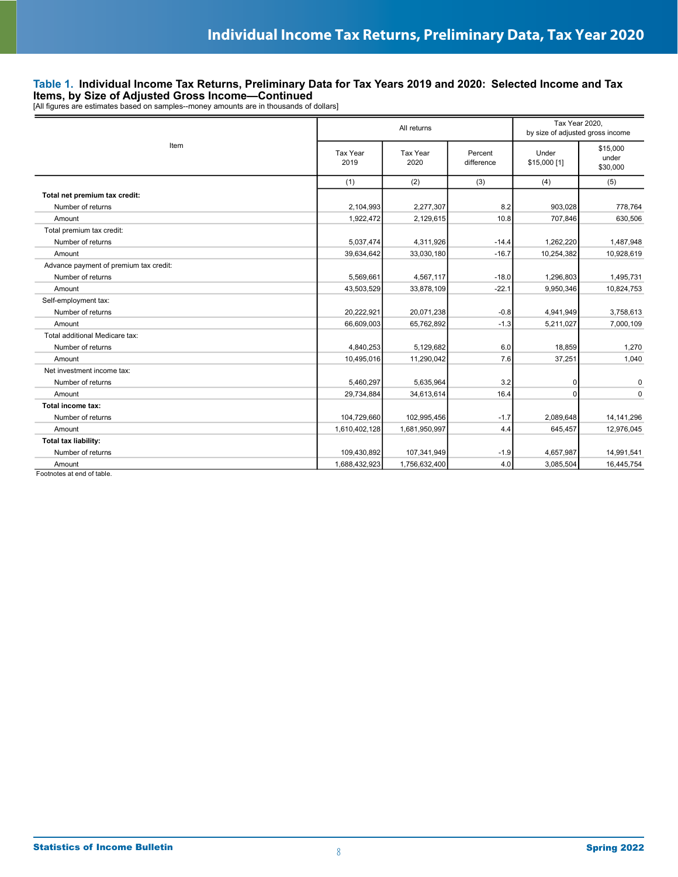**Items, by Size of Adjusted Gross Income—Continued**<br>[All figures are estimates based on samples--money amounts are in thousands of dollars]

|                                        | All returns      |                  |                       |                       |                               |
|----------------------------------------|------------------|------------------|-----------------------|-----------------------|-------------------------------|
| Item                                   | Tax Year<br>2019 | Tax Year<br>2020 | Percent<br>difference | Under<br>\$15,000 [1] | \$15,000<br>under<br>\$30,000 |
|                                        | (1)              | (2)              | (3)                   | (4)                   | (5)                           |
| Total net premium tax credit:          |                  |                  |                       |                       |                               |
| Number of returns                      | 2,104,993        | 2,277,307        | 8.2                   | 903,028               | 778,764                       |
| Amount                                 | 1,922,472        | 2,129,615        | 10.8                  | 707,846               | 630.506                       |
| Total premium tax credit:              |                  |                  |                       |                       |                               |
| Number of returns                      | 5,037,474        | 4,311,926        | $-14.4$               | 1,262,220             | 1,487,948                     |
| Amount                                 | 39,634,642       | 33,030,180       | $-16.7$               | 10,254,382            | 10,928,619                    |
| Advance payment of premium tax credit: |                  |                  |                       |                       |                               |
| Number of returns                      | 5,569,661        | 4,567,117        | $-18.0$               | 1,296,803             | 1,495,731                     |
| Amount                                 | 43,503,529       | 33,878,109       | $-22.1$               | 9,950,346             | 10,824,753                    |
| Self-employment tax:                   |                  |                  |                       |                       |                               |
| Number of returns                      | 20,222,921       | 20,071,238       | $-0.8$                | 4,941,949             | 3,758,613                     |
| Amount                                 | 66,609,003       | 65,762,892       | $-1.3$                | 5,211,027             | 7,000,109                     |
| Total additional Medicare tax:         |                  |                  |                       |                       |                               |
| Number of returns                      | 4,840,253        | 5,129,682        | 6.0                   | 18,859                | 1,270                         |
| Amount                                 | 10,495,016       | 11,290,042       | 7.6                   | 37,251                | 1,040                         |
| Net investment income tax:             |                  |                  |                       |                       |                               |
| Number of returns                      | 5,460,297        | 5,635,964        | 3.2                   | 0                     | $\mathbf 0$                   |
| Amount                                 | 29,734,884       | 34,613,614       | 16.4                  | $\Omega$              | $\mathbf 0$                   |
| Total income tax:                      |                  |                  |                       |                       |                               |
| Number of returns                      | 104,729,660      | 102,995,456      | $-1.7$                | 2,089,648             | 14, 141, 296                  |
| Amount                                 | 1,610,402,128    | 1,681,950,997    | 4.4                   | 645,457               | 12,976,045                    |
| <b>Total tax liability:</b>            |                  |                  |                       |                       |                               |
| Number of returns                      | 109,430,892      | 107,341,949      | $-1.9$                | 4,657,987             | 14,991,541                    |
| Amount                                 | 1,688,432,923    | 1,756,632,400    | 4.0                   | 3,085,504             | 16,445,754                    |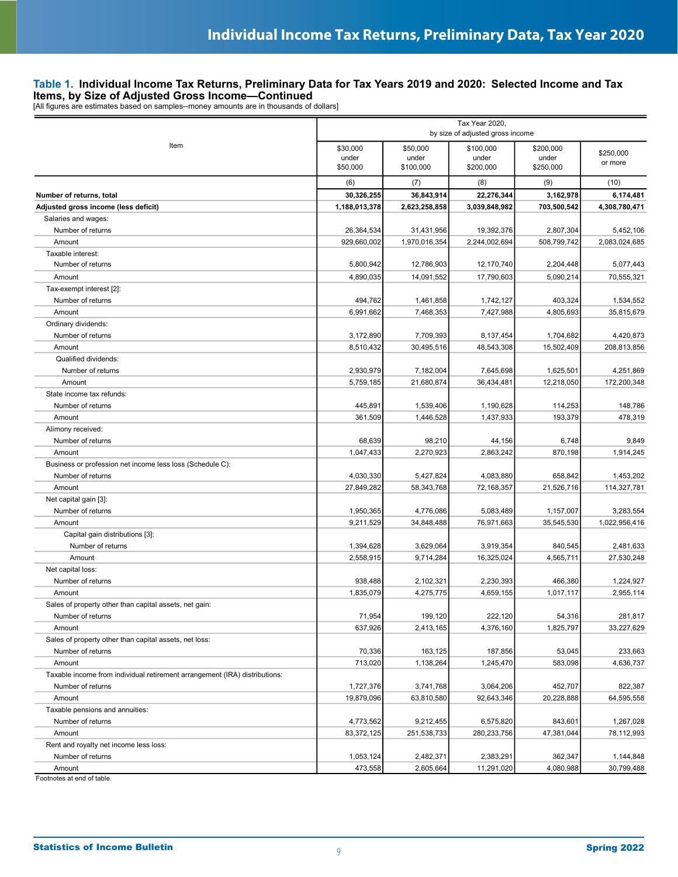**Items, by Size of Adjusted Gross Income—Continued**<br>[All figures are estimates based on samples--money amounts are in thousands of dollars]

|                                                                                                 | Tax Year 2020,<br>by size of adjusted gross income |                                |                                 |                                 |                      |
|-------------------------------------------------------------------------------------------------|----------------------------------------------------|--------------------------------|---------------------------------|---------------------------------|----------------------|
| Item                                                                                            | \$30,000<br>under<br>\$50,000                      | \$50,000<br>under<br>\$100,000 | \$100.000<br>under<br>\$200,000 | \$200,000<br>under<br>\$250,000 | \$250,000<br>or more |
|                                                                                                 | (6)                                                | (7)                            | (8)                             | (9)                             | (10)                 |
| Number of returns, total                                                                        | 30,326,255                                         | 36,843,914                     | 22,276,344                      | 3,162,978                       | 6,174,481            |
| Adjusted gross income (less deficit)                                                            | 1,188,013,378                                      | 2,623,258,858                  | 3,039,848,982                   | 703,500,542                     | 4,308,780,471        |
| Salaries and wages:                                                                             |                                                    |                                |                                 |                                 |                      |
| Number of returns                                                                               | 26,364,534                                         | 31,431,956                     | 19,392,376                      | 2,807,304                       | 5,452,106            |
| Amount                                                                                          | 929,660,002                                        | 1,970,016,354                  | 2,244,002,694                   | 508,799,742                     | 2,083,024,685        |
| Taxable interest:                                                                               |                                                    |                                |                                 |                                 |                      |
| Number of returns                                                                               | 5,800,942                                          | 12,786,903                     | 12,170,740                      | 2,204,448                       | 5,077,443            |
| Amount                                                                                          | 4,890,035                                          | 14,091,552                     | 17,790,603                      | 5,090,214                       | 70,555,321           |
| Tax-exempt interest [2]:                                                                        |                                                    |                                |                                 |                                 |                      |
| Number of returns                                                                               | 494,762                                            | 1,461,858                      | 1,742,127                       | 403,324                         | 1,534,552            |
| Amount                                                                                          | 6,991,662                                          | 7,468,353                      | 7,427,988                       | 4,805,693                       | 35,815,679           |
| Ordinary dividends:                                                                             |                                                    |                                |                                 |                                 |                      |
| Number of returns                                                                               | 3,172,890                                          | 7,709,393                      | 8,137,454                       | 1,704,682                       | 4,420,873            |
| Amount                                                                                          | 8,510,432                                          | 30,495,516                     | 48,543,308                      | 15,502,409                      | 208,813,856          |
| Qualified dividends:                                                                            |                                                    |                                |                                 |                                 |                      |
| Number of returns                                                                               | 2,930,979                                          | 7,182,004                      | 7,645,698                       | 1,625,501                       | 4,251,869            |
| Amount                                                                                          | 5,759,185                                          | 21,680,874                     | 36,434,481                      | 12,218,050                      | 172,200,348          |
| State income tax refunds:                                                                       |                                                    |                                |                                 |                                 |                      |
| Number of returns                                                                               | 445,891                                            | 1,539,406                      | 1,190,628                       | 114,253                         | 148,786              |
| Amount                                                                                          | 361,509                                            | 1,446,528                      | 1,437,933                       | 193,379                         | 478,319              |
| Alimony received:                                                                               |                                                    |                                |                                 |                                 |                      |
| Number of returns                                                                               | 68,639                                             | 98,210                         | 44,156                          | 6,748                           | 9,849                |
| Amount                                                                                          | 1,047,433                                          | 2,270,923                      | 2,863,242                       | 870,198                         | 1,914,245            |
| Business or profession net income less loss (Schedule C):                                       |                                                    |                                |                                 |                                 |                      |
| Number of returns                                                                               | 4,030,330                                          | 5,427,824                      | 4,083,880                       | 658,842                         | 1,453,202            |
| Amount                                                                                          | 27,849,282                                         | 58,343,768                     | 72,168,357                      | 21,526,716                      | 114,327,781          |
| Net capital gain [3]:                                                                           |                                                    |                                |                                 |                                 |                      |
| Number of returns                                                                               | 1,950,365                                          | 4,776,086                      | 5,083,489                       | 1,157,007                       | 3,283,554            |
| Amount                                                                                          | 9,211,529                                          | 34,848,488                     | 76,971,663                      | 35,545,530                      | 1,022,956,416        |
| Capital gain distributions [3]:                                                                 |                                                    |                                |                                 |                                 |                      |
| Number of returns                                                                               | 1,394,628                                          | 3,629,064                      | 3,919,354                       | 840,545                         | 2,481,633            |
| Amount                                                                                          | 2,558,915                                          | 9,714,284                      | 16,325,024                      | 4,565,711                       | 27,530,248           |
| Net capital loss:                                                                               |                                                    |                                |                                 |                                 |                      |
| Number of returns                                                                               | 938,488                                            | 2,102,321                      | 2,230,393                       | 466,380                         | 1,224,927            |
| Amount                                                                                          | 1,835,079                                          | 4,275,775                      | 4,659,155                       | 1,017,117                       | 2,955,114            |
| Sales of property other than capital assets, net gain:                                          |                                                    |                                |                                 |                                 |                      |
| Number of returns                                                                               | 71,954                                             | 199,120                        | 222,120                         | 54,316                          | 281,817              |
| Amount                                                                                          | 637,926                                            | 2,413,165                      | 4,376,160                       | 1,825,797                       | 33,227,629           |
| Sales of property other than capital assets, net loss:                                          |                                                    |                                |                                 |                                 |                      |
| Number of returns                                                                               | 70,336                                             | 163,125                        | 187,856                         | 53,045                          | 233,663              |
| Amount                                                                                          | 713,020                                            | 1,138,264                      | 1,245,470                       | 583,098                         | 4,636,737            |
|                                                                                                 |                                                    |                                |                                 |                                 |                      |
| Taxable income from individual retirement arrangement (IRA) distributions:<br>Number of returns | 1,727,376                                          | 3,741,768                      | 3,064,206                       | 452,707                         | 822,387              |
|                                                                                                 |                                                    |                                | 92,643,346                      |                                 |                      |
| Amount<br>Taxable pensions and annuities:                                                       | 19,879,096                                         | 63,810,580                     |                                 | 20,228,888                      | 64,595,558           |
| Number of returns                                                                               |                                                    |                                |                                 |                                 |                      |
|                                                                                                 | 4,773,562                                          | 9,212,455                      | 6,575,820                       | 843,601                         | 1,267,028            |
| Amount                                                                                          | 83,372,125                                         | 251,538,733                    | 280,233,756                     | 47,381,044                      | 78,112,993           |
| Rent and royalty net income less loss:                                                          |                                                    |                                |                                 |                                 |                      |
| Number of returns                                                                               | 1,053,124                                          | 2,482,371                      | 2,383,291                       | 362,347                         | 1,144,848            |
| Amount                                                                                          | 473,558                                            | 2,605,664                      | 11,291,020                      | 4,080,988                       | 30,799,488           |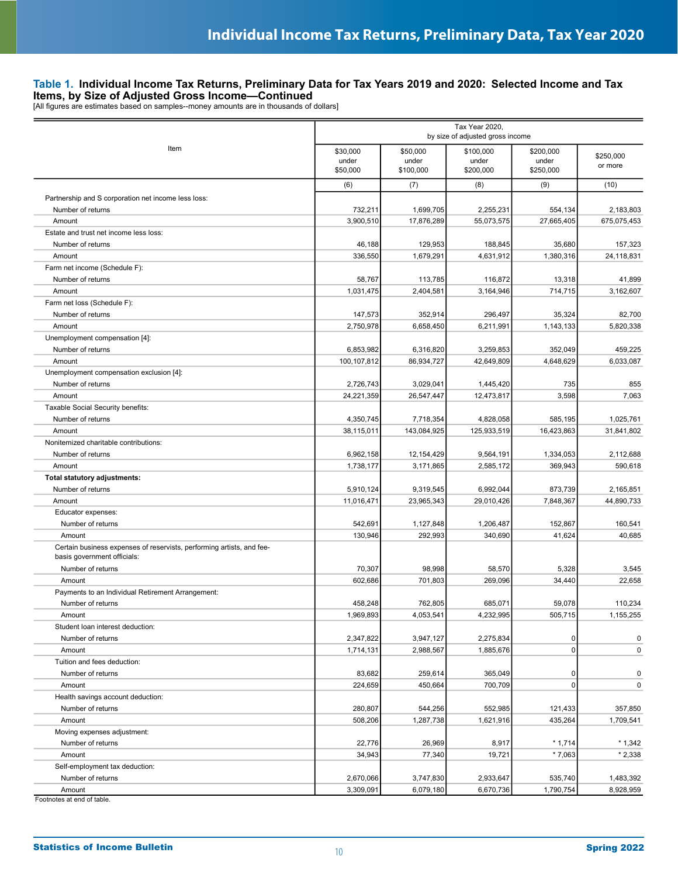|                                                                                                      | Tax Year 2020,<br>by size of adjusted gross income |                                |                                 |                                 |                      |
|------------------------------------------------------------------------------------------------------|----------------------------------------------------|--------------------------------|---------------------------------|---------------------------------|----------------------|
| Item                                                                                                 | \$30,000<br>under<br>\$50,000                      | \$50,000<br>under<br>\$100,000 | \$100,000<br>under<br>\$200,000 | \$200,000<br>under<br>\$250,000 | \$250,000<br>or more |
|                                                                                                      | (6)                                                | (7)                            | (8)                             | (9)                             | (10)                 |
| Partnership and S corporation net income less loss:                                                  |                                                    |                                |                                 |                                 |                      |
| Number of returns                                                                                    | 732,211                                            | 1,699,705                      | 2,255,231                       | 554,134                         | 2,183,803            |
| Amount                                                                                               | 3,900,510                                          | 17,876,289                     | 55,073,575                      | 27,665,405                      | 675,075,453          |
| Estate and trust net income less loss:                                                               |                                                    |                                |                                 |                                 |                      |
| Number of returns                                                                                    | 46,188                                             | 129,953                        | 188,845                         | 35,680                          | 157,323              |
| Amount                                                                                               | 336,550                                            | 1,679,291                      | 4,631,912                       | 1,380,316                       | 24,118,831           |
| Farm net income (Schedule F):                                                                        |                                                    |                                |                                 |                                 |                      |
| Number of returns                                                                                    | 58,767                                             | 113,785                        | 116,872                         | 13,318                          | 41,899               |
| Amount                                                                                               | 1,031,475                                          | 2,404,581                      | 3,164,946                       | 714,715                         | 3,162,607            |
| Farm net loss (Schedule F):                                                                          |                                                    |                                |                                 |                                 |                      |
| Number of returns                                                                                    | 147,573                                            | 352,914                        | 296,497                         | 35,324                          | 82,700               |
| Amount                                                                                               | 2,750,978                                          | 6,658,450                      | 6,211,991                       | 1,143,133                       | 5,820,338            |
| Unemployment compensation [4]:                                                                       |                                                    |                                |                                 |                                 |                      |
| Number of returns                                                                                    | 6,853,982                                          | 6,316,820                      | 3,259,853                       | 352,049                         | 459,225              |
| Amount                                                                                               | 100,107,812                                        | 86,934,727                     | 42,649,809                      | 4,648,629                       | 6,033,087            |
| Unemployment compensation exclusion [4]:                                                             |                                                    |                                |                                 |                                 |                      |
| Number of returns                                                                                    | 2,726,743                                          | 3,029,041                      | 1,445,420                       | 735                             | 855                  |
| Amount                                                                                               | 24,221,359                                         | 26,547,447                     | 12,473,817                      | 3,598                           | 7,063                |
| Taxable Social Security benefits:                                                                    |                                                    |                                |                                 |                                 |                      |
| Number of returns                                                                                    | 4,350,745                                          | 7,718,354                      | 4,828,058                       | 585,195                         | 1,025,761            |
| Amount                                                                                               | 38,115,011                                         | 143,084,925                    | 125,933,519                     | 16,423,863                      | 31,841,802           |
| Nonitemized charitable contributions:                                                                |                                                    |                                |                                 |                                 |                      |
| Number of returns                                                                                    | 6,962,158                                          | 12,154,429                     | 9,564,191                       | 1,334,053                       | 2,112,688            |
| Amount                                                                                               | 1,738,177                                          | 3,171,865                      | 2,585,172                       | 369,943                         | 590,618              |
| Total statutory adjustments:                                                                         |                                                    |                                |                                 |                                 |                      |
| Number of returns                                                                                    | 5,910,124                                          | 9,319,545                      | 6,992,044                       | 873,739                         | 2,165,851            |
| Amount                                                                                               | 11,016,471                                         | 23,965,343                     | 29,010,426                      | 7,848,367                       | 44,890,733           |
| Educator expenses:                                                                                   |                                                    |                                |                                 |                                 |                      |
| Number of returns                                                                                    | 542,691                                            | 1,127,848                      | 1,206,487                       | 152,867                         | 160,541              |
| Amount                                                                                               | 130,946                                            | 292,993                        | 340,690                         | 41,624                          | 40,685               |
| Certain business expenses of reservists, performing artists, and fee-<br>basis government officials: |                                                    |                                |                                 |                                 |                      |
| Number of returns                                                                                    | 70,307                                             | 98,998                         | 58,570                          | 5,328                           | 3,545                |
| Amount                                                                                               | 602,686                                            | 701,803                        | 269,096                         | 34,440                          | 22,658               |
| Payments to an Individual Retirement Arrangement:                                                    |                                                    |                                |                                 |                                 |                      |
| Number of returns                                                                                    | 458,248                                            | 762,805                        | 685,071                         | 59,078                          | 110,234              |
| Amount                                                                                               | 1,969,893                                          | 4,053,541                      | 4,232,995                       | 505,715                         | 1,155,255            |
| Student Ioan interest deduction:                                                                     |                                                    |                                |                                 |                                 |                      |
| Number of returns                                                                                    | 2,347,822                                          | 3,947,127                      | 2,275,834                       | 0                               | 0                    |
| Amount                                                                                               | 1,714,131                                          | 2,988,567                      | 1,885,676                       | $\mathbf 0$                     | 0                    |
| Tuition and fees deduction:                                                                          |                                                    |                                |                                 |                                 |                      |
| Number of returns                                                                                    | 83,682                                             | 259,614                        | 365,049                         | 0                               | 0                    |
| Amount                                                                                               | 224,659                                            | 450,664                        | 700,709                         | 0                               | 0                    |
| Health savings account deduction:                                                                    |                                                    |                                |                                 |                                 |                      |
| Number of returns                                                                                    | 280,807                                            | 544,256                        | 552,985                         | 121,433                         | 357,850              |
| Amount                                                                                               | 508,206                                            | 1,287,738                      | 1,621,916                       | 435,264                         | 1,709,541            |
| Moving expenses adjustment:                                                                          |                                                    |                                |                                 |                                 |                      |
| Number of returns                                                                                    | 22,776                                             | 26,969                         | 8,917                           | $*1,714$                        | $*1,342$             |
| Amount                                                                                               | 34,943                                             | 77,340                         | 19,721                          | $*7,063$                        | $*2,338$             |
| Self-employment tax deduction:                                                                       |                                                    |                                |                                 |                                 |                      |
| Number of returns                                                                                    | 2,670,066                                          | 3,747,830                      | 2,933,647                       | 535,740                         | 1,483,392            |
| Amount                                                                                               | 3,309,091                                          | 6,079,180                      | 6,670,736                       | 1,790,754                       | 8,928,959            |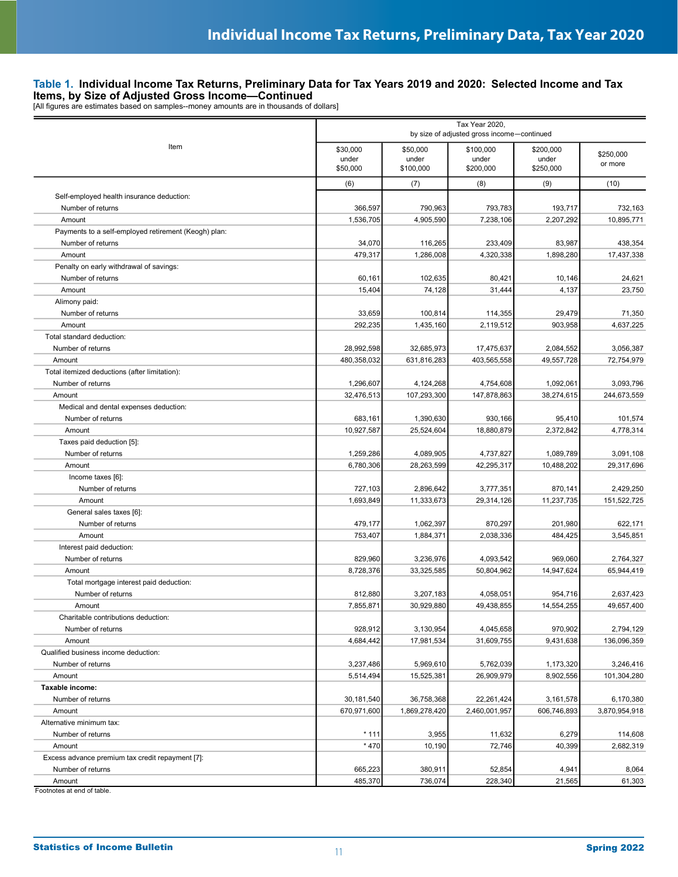|                                                      | Tax Year 2020,<br>by size of adjusted gross income-continued |                                |                                 |                                 |                      |
|------------------------------------------------------|--------------------------------------------------------------|--------------------------------|---------------------------------|---------------------------------|----------------------|
| Item                                                 | \$30,000<br>under<br>\$50,000                                | \$50,000<br>under<br>\$100,000 | \$100,000<br>under<br>\$200,000 | \$200,000<br>under<br>\$250,000 | \$250.000<br>or more |
|                                                      | (6)                                                          | (7)                            | (8)                             | (9)                             | (10)                 |
| Self-employed health insurance deduction:            |                                                              |                                |                                 |                                 |                      |
| Number of returns                                    | 366,597                                                      | 790,963                        | 793,783                         | 193,717                         | 732,163              |
| Amount                                               | 1,536,705                                                    | 4,905,590                      | 7,238,106                       | 2,207,292                       | 10,895,771           |
| Payments to a self-employed retirement (Keogh) plan: |                                                              |                                |                                 |                                 |                      |
| Number of returns                                    | 34,070                                                       | 116,265                        | 233,409                         | 83,987                          | 438.354              |
| Amount                                               | 479,317                                                      | 1,286,008                      | 4,320,338                       | 1,898,280                       | 17,437,338           |
| Penalty on early withdrawal of savings:              |                                                              |                                |                                 |                                 |                      |
| Number of returns                                    | 60,161                                                       | 102,635                        | 80,421                          | 10,146                          | 24,621               |
| Amount                                               | 15,404                                                       | 74,128                         | 31,444                          | 4,137                           | 23,750               |
| Alimony paid:                                        |                                                              |                                |                                 |                                 |                      |
| Number of returns                                    | 33,659                                                       | 100,814                        | 114,355                         | 29,479                          | 71,350               |
| Amount                                               | 292,235                                                      | 1,435,160                      | 2,119,512                       | 903,958                         | 4,637,225            |
| Total standard deduction:                            |                                                              |                                |                                 |                                 |                      |
| Number of returns                                    | 28,992,598                                                   | 32,685,973                     | 17,475,637                      | 2,084,552                       | 3,056,387            |
| Amount                                               | 480,358,032                                                  | 631,816,283                    | 403,565,558                     | 49,557,728                      | 72,754,979           |
| Total itemized deductions (after limitation):        |                                                              |                                |                                 |                                 |                      |
| Number of returns                                    | 1,296,607                                                    | 4,124,268                      | 4,754,608                       | 1,092,061                       | 3,093,796            |
| Amount                                               | 32,476,513                                                   | 107,293,300                    | 147,878,863                     | 38,274,615                      | 244,673,559          |
| Medical and dental expenses deduction:               |                                                              |                                |                                 |                                 |                      |
| Number of returns                                    | 683,161                                                      | 1,390,630                      | 930,166                         | 95,410                          | 101,574              |
| Amount                                               | 10,927,587                                                   | 25,524,604                     | 18,880,879                      | 2,372,842                       | 4,778,314            |
| Taxes paid deduction [5]:                            |                                                              |                                |                                 |                                 |                      |
| Number of returns                                    | 1,259,286                                                    | 4,089,905                      | 4,737,827                       | 1,089,789                       | 3,091,108            |
| Amount                                               | 6,780,306                                                    | 28,263,599                     | 42,295,317                      | 10,488,202                      | 29,317,696           |
| Income taxes [6]:                                    |                                                              |                                |                                 |                                 |                      |
| Number of returns                                    | 727,103                                                      | 2,896,642                      | 3,777,351                       | 870,141                         | 2,429,250            |
| Amount                                               | 1,693,849                                                    | 11,333,673                     | 29,314,126                      | 11,237,735                      | 151,522,725          |
| General sales taxes [6]:                             |                                                              |                                |                                 |                                 |                      |
| Number of returns                                    | 479,177                                                      | 1,062,397                      | 870,297                         | 201,980                         | 622,171              |
| Amount                                               | 753,407                                                      | 1,884,371                      | 2,038,336                       | 484,425                         | 3,545,851            |
| Interest paid deduction:                             |                                                              |                                |                                 |                                 |                      |
| Number of returns                                    | 829,960                                                      | 3,236,976                      | 4,093,542                       | 969,060                         | 2.764.327            |
| Amount                                               | 8,728,376                                                    | 33,325,585                     | 50,804,962                      | 14,947,624                      | 65.944.419           |
| Total mortgage interest paid deduction:              |                                                              |                                |                                 |                                 |                      |
| Number of returns                                    | 812,880                                                      | 3,207,183                      | 4,058,051                       | 954,716                         | 2.637.423            |
| Amount                                               | 7,855,871                                                    | 30,929,880                     | 49,438,855                      | 14,554,255                      | 49,657,400           |
| Charitable contributions deduction:                  |                                                              |                                |                                 |                                 |                      |
| Number of returns                                    | 928,912                                                      | 3,130,954                      | 4,045,658                       | 970,902                         | 2,794,129            |
| Amount                                               | 4,684,442                                                    | 17,981,534                     | 31,609,755                      | 9,431,638                       | 136,096,359          |
| Qualified business income deduction:                 |                                                              |                                |                                 |                                 |                      |
| Number of returns                                    | 3,237,486                                                    | 5,969,610                      | 5,762,039                       | 1,173,320                       | 3,246,416            |
| Amount                                               | 5,514,494                                                    | 15,525,381                     | 26,909,979                      | 8,902,556                       | 101,304,280          |
| Taxable income:                                      |                                                              |                                |                                 |                                 |                      |
| Number of returns                                    | 30,181,540                                                   | 36,758,368                     | 22,261,424                      | 3,161,578                       | 6,170,380            |
| Amount                                               | 670,971,600                                                  | 1,869,278,420                  | 2,460,001,957                   | 606,746,893                     | 3,870,954,918        |
| Alternative minimum tax:                             |                                                              |                                |                                 |                                 |                      |
| Number of returns                                    | * 111                                                        | 3,955                          | 11,632                          | 6,279                           | 114,608              |
| Amount                                               | * 470                                                        | 10,190                         | 72,746                          | 40,399                          | 2,682,319            |
| Excess advance premium tax credit repayment [7]:     |                                                              |                                |                                 |                                 |                      |
| Number of returns                                    | 665,223                                                      | 380,911                        | 52,854                          | 4,941                           | 8,064                |
| Amount<br>Footnotes at end of table.                 | 485,370                                                      | 736,074                        | 228,340                         | 21,565                          | 61,303               |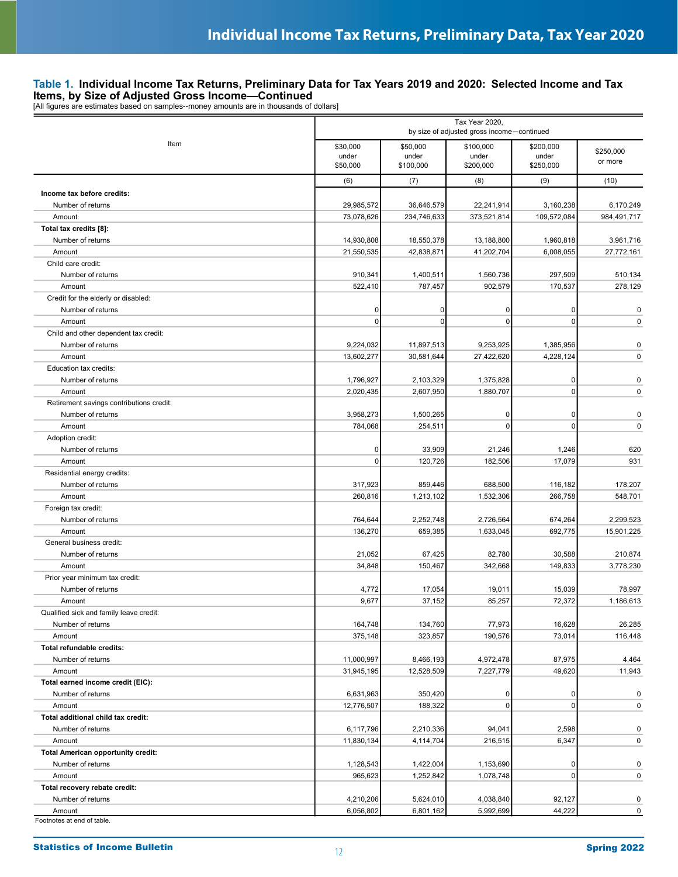| Item<br>\$30,000<br>\$50,000<br>\$100,000<br>\$200,000<br>under<br>under<br>under<br>under<br>\$50,000<br>\$100,000<br>\$200,000<br>\$250,000<br>(6)<br>(7)<br>(8)<br>(9)<br>Income tax before credits:<br>29,985,572<br>36,646,579<br>22,241,914<br>3,160,238<br>Number of returns<br>73,078,626<br>234,746,633<br>373,521,814<br>109,572,084<br>Amount<br>Total tax credits [8]:<br>Number of returns<br>14,930,808<br>13,188,800<br>1,960,818<br>18,550,378<br>21,550,535<br>42,838,871<br>41,202,704<br>6,008,055<br>Amount | \$250,000<br>or more<br>(10)<br>6,170,249<br>984,491,717<br>3,961,716<br>27,772,161<br>510,134<br>278,129 |
|---------------------------------------------------------------------------------------------------------------------------------------------------------------------------------------------------------------------------------------------------------------------------------------------------------------------------------------------------------------------------------------------------------------------------------------------------------------------------------------------------------------------------------|-----------------------------------------------------------------------------------------------------------|
|                                                                                                                                                                                                                                                                                                                                                                                                                                                                                                                                 |                                                                                                           |
|                                                                                                                                                                                                                                                                                                                                                                                                                                                                                                                                 |                                                                                                           |
|                                                                                                                                                                                                                                                                                                                                                                                                                                                                                                                                 |                                                                                                           |
|                                                                                                                                                                                                                                                                                                                                                                                                                                                                                                                                 |                                                                                                           |
|                                                                                                                                                                                                                                                                                                                                                                                                                                                                                                                                 |                                                                                                           |
|                                                                                                                                                                                                                                                                                                                                                                                                                                                                                                                                 |                                                                                                           |
|                                                                                                                                                                                                                                                                                                                                                                                                                                                                                                                                 |                                                                                                           |
|                                                                                                                                                                                                                                                                                                                                                                                                                                                                                                                                 |                                                                                                           |
| Child care credit:                                                                                                                                                                                                                                                                                                                                                                                                                                                                                                              |                                                                                                           |
| 910,341<br>1,400,511<br>1,560,736<br>297,509<br>Number of returns                                                                                                                                                                                                                                                                                                                                                                                                                                                               |                                                                                                           |
| 522,410<br>787,457<br>902,579<br>170,537<br>Amount                                                                                                                                                                                                                                                                                                                                                                                                                                                                              |                                                                                                           |
| Credit for the elderly or disabled:                                                                                                                                                                                                                                                                                                                                                                                                                                                                                             |                                                                                                           |
| Number of returns<br>0<br>0<br>0<br>0                                                                                                                                                                                                                                                                                                                                                                                                                                                                                           | $\pmb{0}$                                                                                                 |
| $\mathbf 0$<br>0<br>0<br>$\mathbf 0$<br>Amount                                                                                                                                                                                                                                                                                                                                                                                                                                                                                  | 0                                                                                                         |
| Child and other dependent tax credit:                                                                                                                                                                                                                                                                                                                                                                                                                                                                                           |                                                                                                           |
| 9,224,032<br>11,897,513<br>9,253,925<br>1,385,956<br>Number of returns                                                                                                                                                                                                                                                                                                                                                                                                                                                          | $\pmb{0}$                                                                                                 |
| 13,602,277<br>30,581,644<br>27,422,620<br>4,228,124<br>Amount                                                                                                                                                                                                                                                                                                                                                                                                                                                                   | $\pmb{0}$                                                                                                 |
| Education tax credits:                                                                                                                                                                                                                                                                                                                                                                                                                                                                                                          |                                                                                                           |
| 1,796,927<br>2,103,329<br>1,375,828<br>0<br>Number of returns                                                                                                                                                                                                                                                                                                                                                                                                                                                                   | $\pmb{0}$                                                                                                 |
| $\mathsf 0$<br>2,020,435<br>2,607,950<br>1,880,707<br>Amount                                                                                                                                                                                                                                                                                                                                                                                                                                                                    | $\pmb{0}$                                                                                                 |
| Retirement savings contributions credit:                                                                                                                                                                                                                                                                                                                                                                                                                                                                                        |                                                                                                           |
| Number of returns<br>0<br>3,958,273<br>1,500,265<br>0                                                                                                                                                                                                                                                                                                                                                                                                                                                                           | 0                                                                                                         |
| 784,068<br>$\mathbf 0$<br>254,511<br>$\mathbf 0$<br>Amount                                                                                                                                                                                                                                                                                                                                                                                                                                                                      | $\mathbf 0$                                                                                               |
| Adoption credit:<br>33,909<br>21,246<br>1,246<br>Number of returns<br>0                                                                                                                                                                                                                                                                                                                                                                                                                                                         | 620                                                                                                       |
| 0<br>120,726<br>182,506<br>17,079<br>Amount                                                                                                                                                                                                                                                                                                                                                                                                                                                                                     | 931                                                                                                       |
| Residential energy credits:                                                                                                                                                                                                                                                                                                                                                                                                                                                                                                     |                                                                                                           |
| 317,923<br>859,446<br>688,500<br>Number of returns<br>116,182                                                                                                                                                                                                                                                                                                                                                                                                                                                                   | 178,207                                                                                                   |
| 260,816<br>1,213,102<br>1,532,306<br>266,758<br>Amount                                                                                                                                                                                                                                                                                                                                                                                                                                                                          | 548,701                                                                                                   |
| Foreign tax credit:                                                                                                                                                                                                                                                                                                                                                                                                                                                                                                             |                                                                                                           |
| 764,644<br>2,252,748<br>2,726,564<br>674,264<br>Number of returns                                                                                                                                                                                                                                                                                                                                                                                                                                                               | 2,299,523                                                                                                 |
| 659,385<br>1,633,045<br>136,270<br>692,775<br>Amount                                                                                                                                                                                                                                                                                                                                                                                                                                                                            | 15,901,225                                                                                                |
| General business credit:                                                                                                                                                                                                                                                                                                                                                                                                                                                                                                        |                                                                                                           |
| 21,052<br>82,780<br>30,588<br>Number of returns<br>67,425                                                                                                                                                                                                                                                                                                                                                                                                                                                                       | 210,874                                                                                                   |
| 34,848<br>150,467<br>342,668<br>149,833<br>Amount                                                                                                                                                                                                                                                                                                                                                                                                                                                                               | 3,778,230                                                                                                 |
| Prior year minimum tax credit:                                                                                                                                                                                                                                                                                                                                                                                                                                                                                                  |                                                                                                           |
| 4,772<br>17,054<br>19,011<br>15,039<br>Number of returns                                                                                                                                                                                                                                                                                                                                                                                                                                                                        | 78,997                                                                                                    |
| 9,677<br>37,152<br>85,257<br>72,372<br>Amount                                                                                                                                                                                                                                                                                                                                                                                                                                                                                   | 1,186,613                                                                                                 |
| Qualified sick and family leave credit:                                                                                                                                                                                                                                                                                                                                                                                                                                                                                         |                                                                                                           |
| 164,748<br>134,760<br>77,973<br>16,628<br>Number of returns                                                                                                                                                                                                                                                                                                                                                                                                                                                                     | 26,285                                                                                                    |
| 375,148<br>323,857<br>190,576<br>73,014<br>Amount                                                                                                                                                                                                                                                                                                                                                                                                                                                                               | 116,448                                                                                                   |
| Total refundable credits:                                                                                                                                                                                                                                                                                                                                                                                                                                                                                                       |                                                                                                           |
| Number of returns<br>11,000,997<br>8,466,193<br>4,972,478<br>87,975                                                                                                                                                                                                                                                                                                                                                                                                                                                             | 4,464                                                                                                     |
| 31,945,195<br>12,528,509<br>7,227,779<br>49,620<br>Amount<br>Total earned income credit (EIC):                                                                                                                                                                                                                                                                                                                                                                                                                                  | 11,943                                                                                                    |
| Number of returns<br>350,420<br>6,631,963<br>0<br>0                                                                                                                                                                                                                                                                                                                                                                                                                                                                             | $\pmb{0}$                                                                                                 |
| $\mathbf 0$<br>$\mathbf 0$<br>12,776,507<br>188,322<br>Amount                                                                                                                                                                                                                                                                                                                                                                                                                                                                   | $\mathbf 0$                                                                                               |
| Total additional child tax credit:                                                                                                                                                                                                                                                                                                                                                                                                                                                                                              |                                                                                                           |
| Number of returns<br>6,117,796<br>2,210,336<br>94,041<br>2,598                                                                                                                                                                                                                                                                                                                                                                                                                                                                  | $\pmb{0}$                                                                                                 |
| 11,830,134<br>4,114,704<br>216,515<br>6,347<br>Amount                                                                                                                                                                                                                                                                                                                                                                                                                                                                           | $\mathbf 0$                                                                                               |
| <b>Total American opportunity credit:</b>                                                                                                                                                                                                                                                                                                                                                                                                                                                                                       |                                                                                                           |
| Number of returns<br>1,128,543<br>1,422,004<br>1,153,690<br>0                                                                                                                                                                                                                                                                                                                                                                                                                                                                   | $\pmb{0}$                                                                                                 |
| 1,252,842<br>0<br>965,623<br>1,078,748<br>Amount                                                                                                                                                                                                                                                                                                                                                                                                                                                                                | 0                                                                                                         |
| Total recovery rebate credit:                                                                                                                                                                                                                                                                                                                                                                                                                                                                                                   |                                                                                                           |
| 92,127<br>Number of returns<br>4,210,206<br>5,624,010<br>4,038,840                                                                                                                                                                                                                                                                                                                                                                                                                                                              | $\mathbf 0$                                                                                               |
| 6,056,802<br>6,801,162<br>5,992,699<br>44,222<br>Amount<br>Footnotes at end of table.                                                                                                                                                                                                                                                                                                                                                                                                                                           | $\pmb{0}$                                                                                                 |